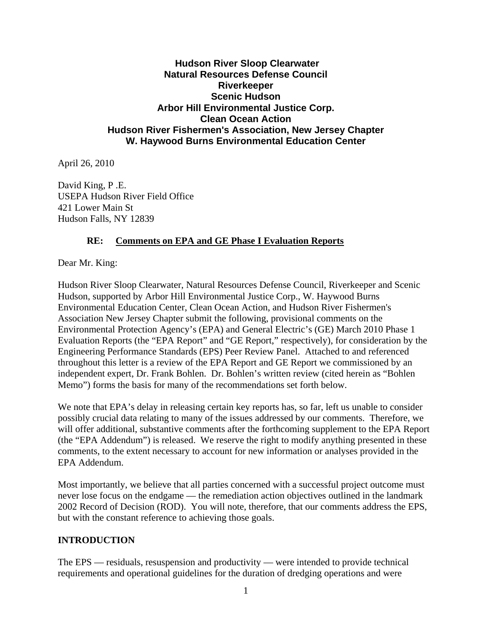# **Hudson River Sloop Clearwater Natural Resources Defense Council Riverkeeper Scenic Hudson Arbor Hill Environmental Justice Corp. Clean Ocean Action Hudson River Fishermen's Association, New Jersey Chapter W. Haywood Burns Environmental Education Center**

April 26, 2010

David King, P .E. USEPA Hudson River Field Office 421 Lower Main St Hudson Falls, NY 12839

# **RE: Comments on EPA and GE Phase I Evaluation Reports**

Dear Mr. King:

Hudson River Sloop Clearwater, Natural Resources Defense Council, Riverkeeper and Scenic Hudson, supported by Arbor Hill Environmental Justice Corp., W. Haywood Burns Environmental Education Center, Clean Ocean Action, and Hudson River Fishermen's Association New Jersey Chapter submit the following, provisional comments on the Environmental Protection Agency's (EPA) and General Electric's (GE) March 2010 Phase 1 Evaluation Reports (the "EPA Report" and "GE Report," respectively), for consideration by the Engineering Performance Standards (EPS) Peer Review Panel. Attached to and referenced throughout this letter is a review of the EPA Report and GE Report we commissioned by an independent expert, Dr. Frank Bohlen. Dr. Bohlen's written review (cited herein as "Bohlen Memo") forms the basis for many of the recommendations set forth below.

We note that EPA's delay in releasing certain key reports has, so far, left us unable to consider possibly crucial data relating to many of the issues addressed by our comments. Therefore, we will offer additional, substantive comments after the forthcoming supplement to the EPA Report (the "EPA Addendum") is released. We reserve the right to modify anything presented in these comments, to the extent necessary to account for new information or analyses provided in the EPA Addendum.

Most importantly, we believe that all parties concerned with a successful project outcome must never lose focus on the endgame — the remediation action objectives outlined in the landmark 2002 Record of Decision (ROD). You will note, therefore, that our comments address the EPS, but with the constant reference to achieving those goals.

# **INTRODUCTION**

The EPS — residuals, resuspension and productivity — were intended to provide technical requirements and operational guidelines for the duration of dredging operations and were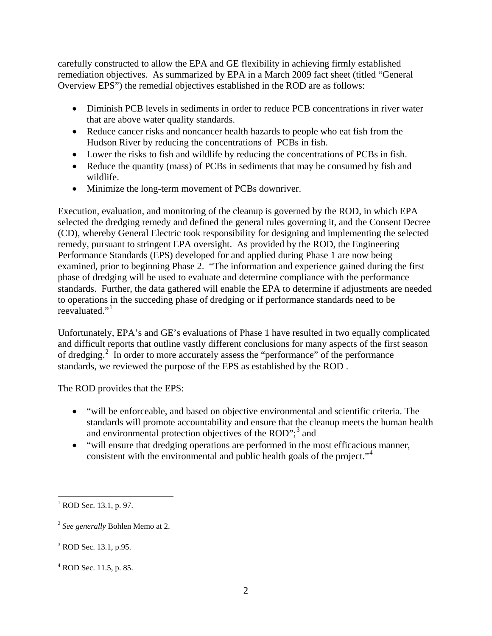carefully constructed to allow the EPA and GE flexibility in achieving firmly established remediation objectives. As summarized by EPA in a March 2009 fact sheet (titled "General Overview EPS") the remedial objectives established in the ROD are as follows:

- Diminish PCB levels in sediments in order to reduce PCB concentrations in river water that are above water quality standards.
- Reduce cancer risks and noncancer health hazards to people who eat fish from the Hudson River by reducing the concentrations of PCBs in fish.
- Lower the risks to fish and wildlife by reducing the concentrations of PCBs in fish.
- Reduce the quantity (mass) of PCBs in sediments that may be consumed by fish and wildlife.
- Minimize the long-term movement of PCBs downriver.

Execution, evaluation, and monitoring of the cleanup is governed by the ROD, in which EPA selected the dredging remedy and defined the general rules governing it, and the Consent Decree (CD), whereby General Electric took responsibility for designing and implementing the selected remedy, pursuant to stringent EPA oversight. As provided by the ROD, the Engineering Performance Standards (EPS) developed for and applied during Phase 1 are now being examined, prior to beginning Phase 2. "The information and experience gained during the first phase of dredging will be used to evaluate and determine compliance with the performance standards. Further, the data gathered will enable the EPA to determine if adjustments are needed to operations in the succeding phase of dredging or if performance standards need to be reevaluated."[1](#page-1-0)

Unfortunately, EPA's and GE's evaluations of Phase 1 have resulted in two equally complicated and difficult reports that outline vastly different conclusions for many aspects of the first season of dredging.[2](#page-1-1) In order to more accurately assess the "performance" of the performance standards, we reviewed the purpose of the EPS as established by the ROD .

The ROD provides that the EPS:

- "will be enforceable, and based on objective environmental and scientific criteria. The standards will promote accountability and ensure that the cleanup meets the human health and environmental protection objectives of the ROD";<sup>[3](#page-1-2)</sup> and
- "will ensure that dredging operations are performed in the most efficacious manner, consistent with the environmental and public health goals of the project."<sup>[4](#page-1-3)</sup>

<span id="page-1-0"></span> $<sup>1</sup>$  ROD Sec. 13.1, p. 97.</sup>

<span id="page-1-1"></span><sup>2</sup> *See generally* Bohlen Memo at 2.

<span id="page-1-2"></span><sup>&</sup>lt;sup>3</sup> ROD Sec. 13.1, p.95.

<span id="page-1-3"></span> $4$  ROD Sec. 11.5, p. 85.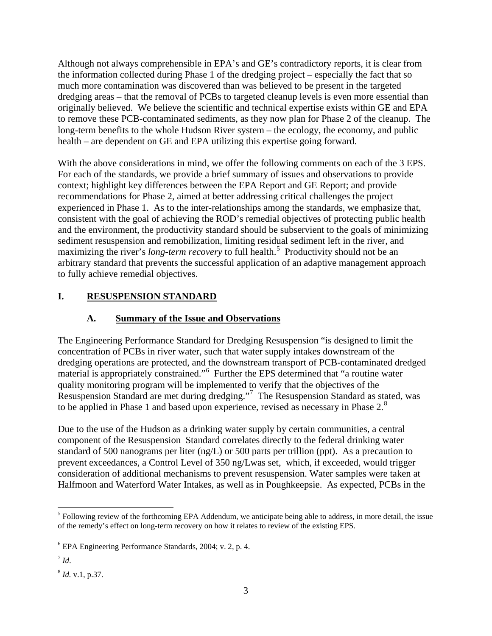Although not always comprehensible in EPA's and GE's contradictory reports, it is clear from the information collected during Phase 1 of the dredging project – especially the fact that so much more contamination was discovered than was believed to be present in the targeted dredging areas – that the removal of PCBs to targeted cleanup levels is even more essential than originally believed. We believe the scientific and technical expertise exists within GE and EPA to remove these PCB-contaminated sediments, as they now plan for Phase 2 of the cleanup. The long-term benefits to the whole Hudson River system – the ecology, the economy, and public health – are dependent on GE and EPA utilizing this expertise going forward.

With the above considerations in mind, we offer the following comments on each of the 3 EPS. For each of the standards, we provide a brief summary of issues and observations to provide context; highlight key differences between the EPA Report and GE Report; and provide recommendations for Phase 2, aimed at better addressing critical challenges the project experienced in Phase 1. As to the inter-relationships among the standards, we emphasize that, consistent with the goal of achieving the ROD's remedial objectives of protecting public health and the environment, the productivity standard should be subservient to the goals of minimizing sediment resuspension and remobilization, limiting residual sediment left in the river, and maximizing the river's *long-term recovery* to full health.<sup>[5](#page-2-0)</sup> Productivity should not be an arbitrary standard that prevents the successful application of an adaptive management approach to fully achieve remedial objectives.

# **I. RESUSPENSION STANDARD**

# **A. Summary of the Issue and Observations**

The Engineering Performance Standard for Dredging Resuspension "is designed to limit the concentration of PCBs in river water, such that water supply intakes downstream of the dredging operations are protected, and the downstream transport of PCB-contaminated dredged material is appropriately constrained."[6](#page-2-1) Further the EPS determined that "a routine water quality monitoring program will be implemented to verify that the objectives of the Resuspension Standard are met during dredging."[7](#page-2-2) The Resuspension Standard as stated, was to be applied in Phase 1 and based upon experience, revised as necessary in Phase 2.<sup>[8](#page-2-3)</sup>

Due to the use of the Hudson as a drinking water supply by certain communities, a central component of the Resuspension Standard correlates directly to the federal drinking water standard of 500 nanograms per liter (ng/L) or 500 parts per trillion (ppt). As a precaution to prevent exceedances, a Control Level of 350 ng/Lwas set, which, if exceeded, would trigger consideration of additional mechanisms to prevent resuspension. Water samples were taken at Halfmoon and Waterford Water Intakes, as well as in Poughkeepsie. As expected, PCBs in the

<span id="page-2-0"></span><sup>&</sup>lt;sup>5</sup> Following review of the forthcoming EPA Addendum, we anticipate being able to address, in more detail, the issue of the remedy's effect on long-term recovery on how it relates to review of the existing EPS.

<span id="page-2-1"></span><sup>6</sup> EPA Engineering Performance Standards, 2004; v. 2, p. 4.

<span id="page-2-2"></span> $^7$  *Id.* 

<span id="page-2-3"></span><sup>8</sup> *Id.* v.1, p.37.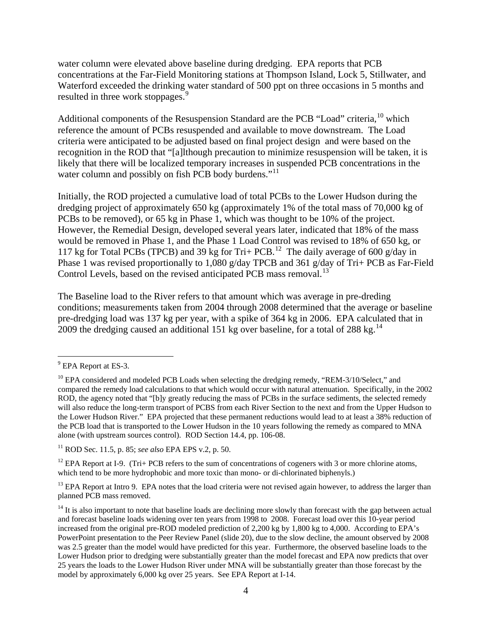water column were elevated above baseline during dredging. EPA reports that PCB concentrations at the Far-Field Monitoring stations at Thompson Island, Lock 5, Stillwater, and Waterford exceeded the drinking water standard of 500 ppt on three occasions in 5 months and resulted in three work stoppages.<sup>[9](#page-3-0)</sup>

Additional components of the Resuspension Standard are the PCB "Load" criteria, <sup>[10](#page-3-1)</sup> which reference the amount of PCBs resuspended and available to move downstream. The Load criteria were anticipated to be adjusted based on final project design and were based on the recognition in the ROD that "[a]lthough precaution to minimize resuspension will be taken, it is likely that there will be localized temporary increases in suspended PCB concentrations in the water column and possibly on fish PCB body burdens."<sup>[11](#page-3-2)</sup>

Initially, the ROD projected a cumulative load of total PCBs to the Lower Hudson during the dredging project of approximately 650 kg (approximately 1% of the total mass of 70,000 kg of PCBs to be removed), or 65 kg in Phase 1, which was thought to be 10% of the project. However, the Remedial Design, developed several years later, indicated that 18% of the mass would be removed in Phase 1, and the Phase 1 Load Control was revised to 18% of 650 kg, or 117 kg for Total PCBs (TPCB) and 39 kg for Tri+ PCB.<sup>12</sup> The daily average of 600 g/day in Phase 1 was revised proportionally to 1,080 g/day TPCB and 361 g/day of Tri+ PCB as Far-Field Control Levels, based on the revised anticipated PCB mass removal.<sup>[13](#page-3-4)</sup>

The Baseline load to the River refers to that amount which was average in pre-dreding conditions; measurements taken from 2004 through 2008 determined that the average or baseline pre-dredging load was 137 kg per year, with a spike of 364 kg in 2006. EPA calculated that in 2009 the dredging caused an additional 151 kg over baseline, for a total of 288 kg.<sup>[14](#page-3-5)</sup>

<span id="page-3-0"></span><sup>&</sup>lt;sup>9</sup> EPA Report at ES-3.

<span id="page-3-1"></span><sup>&</sup>lt;sup>10</sup> EPA considered and modeled PCB Loads when selecting the dredging remedy, "REM-3/10/Select," and compared the remedy load calculations to that which would occur with natural attenuation. Specifically, in the 2002 ROD, the agency noted that "[b]y greatly reducing the mass of PCBs in the surface sediments, the selected remedy will also reduce the long-term transport of PCBS from each River Section to the next and from the Upper Hudson to the Lower Hudson River." EPA projected that these permanent reductions would lead to at least a 38% reduction of the PCB load that is transported to the Lower Hudson in the 10 years following the remedy as compared to MNA alone (with upstream sources control). ROD Section 14.4, pp. 106-08.

<span id="page-3-2"></span><sup>11</sup> ROD Sec. 11.5, p. 85; *see also* EPA EPS v.2, p. 50.

<span id="page-3-3"></span><sup>&</sup>lt;sup>12</sup> EPA Report at I-9. (Tri+ PCB refers to the sum of concentrations of cogeners with 3 or more chlorine atoms, which tend to be more hydrophobic and more toxic than mono- or di-chlorinated biphenyls.)

<span id="page-3-4"></span><sup>&</sup>lt;sup>13</sup> EPA Report at Intro 9. EPA notes that the load criteria were not revised again however, to address the larger than planned PCB mass removed.

<span id="page-3-5"></span> $14$  It is also important to note that baseline loads are declining more slowly than forecast with the gap between actual and forecast baseline loads widening over ten years from 1998 to 2008. Forecast load over this 10-year period increased from the original pre-ROD modeled prediction of 2,200 kg by 1,800 kg to 4,000. According to EPA's PowerPoint presentation to the Peer Review Panel (slide 20), due to the slow decline, the amount observed by 2008 was 2.5 greater than the model would have predicted for this year. Furthermore, the observed baseline loads to the Lower Hudson prior to dredging were substantially greater than the model forecast and EPA now predicts that over 25 years the loads to the Lower Hudson River under MNA will be substantially greater than those forecast by the model by approximately 6,000 kg over 25 years. See EPA Report at I-14.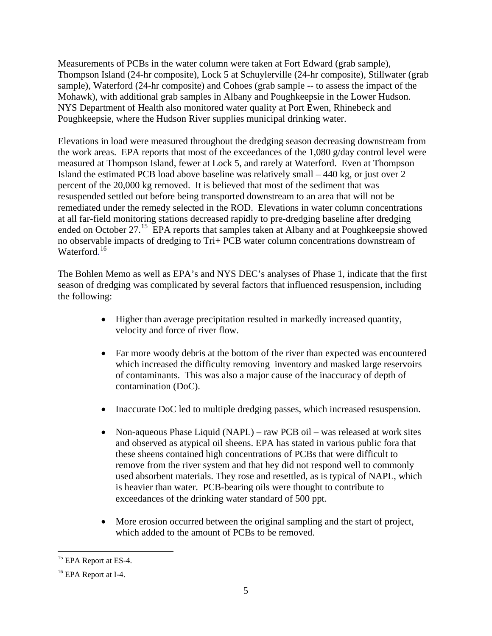Measurements of PCBs in the water column were taken at Fort Edward (grab sample), Thompson Island (24-hr composite), Lock 5 at Schuylerville (24-hr composite), Stillwater (grab sample), Waterford (24-hr composite) and Cohoes (grab sample -- to assess the impact of the Mohawk), with additional grab samples in Albany and Poughkeepsie in the Lower Hudson. NYS Department of Health also monitored water quality at Port Ewen, Rhinebeck and Poughkeepsie, where the Hudson River supplies municipal drinking water.

Elevations in load were measured throughout the dredging season decreasing downstream from the work areas. EPA reports that most of the exceedances of the 1,080 g/day control level were measured at Thompson Island, fewer at Lock 5, and rarely at Waterford. Even at Thompson Island the estimated PCB load above baseline was relatively small – 440 kg, or just over 2 percent of the 20,000 kg removed. It is believed that most of the sediment that was resuspended settled out before being transported downstream to an area that will not be remediated under the remedy selected in the ROD. Elevations in water column concentrations at all far-field monitoring stations decreased rapidly to pre-dredging baseline after dredging ended on October 27.<sup>[15](#page-4-0)</sup> EPA reports that samples taken at Albany and at Poughkeepsie showed no observable impacts of dredging to Tri+ PCB water column concentrations downstream of Waterford.<sup>[16](#page-4-1)</sup>

The Bohlen Memo as well as EPA's and NYS DEC's analyses of Phase 1, indicate that the first season of dredging was complicated by several factors that influenced resuspension, including the following:

- Higher than average precipitation resulted in markedly increased quantity, velocity and force of river flow.
- Far more woody debris at the bottom of the river than expected was encountered which increased the difficulty removing inventory and masked large reservoirs of contaminants. This was also a major cause of the inaccuracy of depth of contamination (DoC).
- Inaccurate DoC led to multiple dredging passes, which increased resuspension.
- Non-aqueous Phase Liquid (NAPL) raw PCB oil was released at work sites and observed as atypical oil sheens. EPA has stated in various public fora that these sheens contained high concentrations of PCBs that were difficult to remove from the river system and that hey did not respond well to commonly used absorbent materials. They rose and resettled, as is typical of NAPL, which is heavier than water. PCB-bearing oils were thought to contribute to exceedances of the drinking water standard of 500 ppt.
- More erosion occurred between the original sampling and the start of project, which added to the amount of PCBs to be removed.

<span id="page-4-0"></span> $\overline{a}$ <sup>15</sup> EPA Report at ES-4.

<span id="page-4-1"></span><sup>&</sup>lt;sup>16</sup> EPA Report at I-4.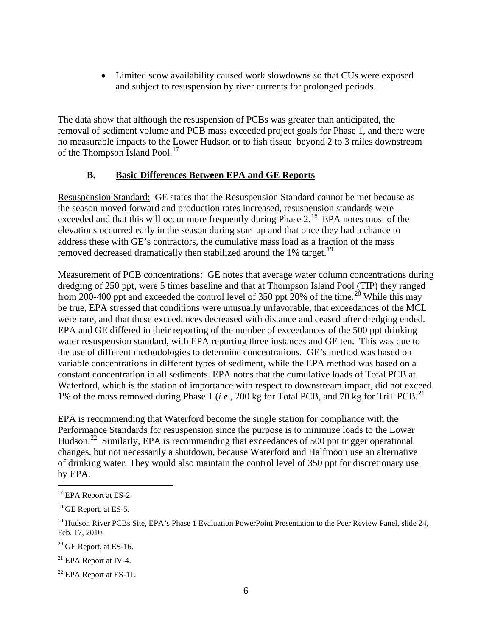• Limited scow availability caused work slowdowns so that CUs were exposed and subject to resuspension by river currents for prolonged periods.

The data show that although the resuspension of PCBs was greater than anticipated, the removal of sediment volume and PCB mass exceeded project goals for Phase 1, and there were no measurable impacts to the Lower Hudson or to fish tissue beyond 2 to 3 miles downstream of the Thompson Island Pool. $^{17}$  $^{17}$  $^{17}$ 

# **B. Basic Differences Between EPA and GE Reports**

Resuspension Standard: GE states that the Resuspension Standard cannot be met because as the season moved forward and production rates increased, resuspension standards were exceeded and that this will occur more frequently during Phase  $2.^{18}$  $2.^{18}$  $2.^{18}$  EPA notes most of the elevations occurred early in the season during start up and that once they had a chance to address these with GE's contractors, the cumulative mass load as a fraction of the mass removed decreased dramatically then stabilized around the 1% target.<sup>[19](#page-5-2)</sup>

Measurement of PCB concentrations: GE notes that average water column concentrations during dredging of 250 ppt, were 5 times baseline and that at Thompson Island Pool (TIP) they ranged from [20](#page-5-3)0-400 ppt and exceeded the control level of 350 ppt 20% of the time.<sup>20</sup> While this may be true, EPA stressed that conditions were unusually unfavorable, that exceedances of the MCL were rare, and that these exceedances decreased with distance and ceased after dredging ended. EPA and GE differed in their reporting of the number of exceedances of the 500 ppt drinking water resuspension standard, with EPA reporting three instances and GE ten. This was due to the use of different methodologies to determine concentrations. GE's method was based on variable concentrations in different types of sediment, while the EPA method was based on a constant concentration in all sediments. EPA notes that the cumulative loads of Total PCB at Waterford, which is the station of importance with respect to downstream impact, did not exceed 1% of the mass removed during Phase 1 (*i.e.,* 200 kg for Total PCB, and 70 kg for Tri+ PCB.[21](#page-5-4)

EPA is recommending that Waterford become the single station for compliance with the Performance Standards for resuspension since the purpose is to minimize loads to the Lower Hudson.<sup>[22](#page-5-5)</sup> Similarly, EPA is recommending that exceedances of 500 ppt trigger operational changes, but not necessarily a shutdown, because Waterford and Halfmoon use an alternative of drinking water. They would also maintain the control level of 350 ppt for discretionary use by EPA.

<span id="page-5-0"></span><sup>&</sup>lt;sup>17</sup> EPA Report at ES-2.

<span id="page-5-1"></span><sup>&</sup>lt;sup>18</sup> GE Report, at ES-5.

<span id="page-5-2"></span><sup>&</sup>lt;sup>19</sup> Hudson River PCBs Site, EPA's Phase 1 Evaluation PowerPoint Presentation to the Peer Review Panel, slide 24, Feb. 17, 2010.

<span id="page-5-3"></span> $20$  GE Report, at ES-16.

<span id="page-5-4"></span><sup>21</sup> EPA Report at IV-4.

<span id="page-5-5"></span> $22$  EPA Report at ES-11.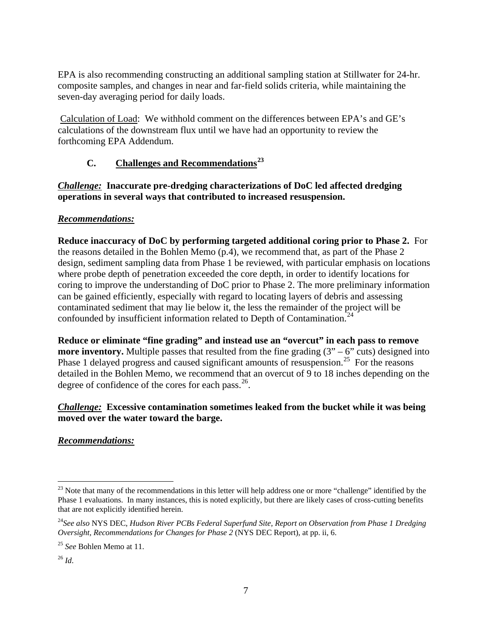EPA is also recommending constructing an additional sampling station at Stillwater for 24-hr. composite samples, and changes in near and far-field solids criteria, while maintaining the seven-day averaging period for daily loads.

Calculation of Load: We withhold comment on the differences between EPA's and GE's calculations of the downstream flux until we have had an opportunity to review the forthcoming EPA Addendum.

# **C. Challenges and Recommendations[23](#page-6-0)**

*Challenge:* **Inaccurate pre-dredging characterizations of DoC led affected dredging operations in several ways that contributed to increased resuspension.** 

# *Recommendations:*

**Reduce inaccuracy of DoC by performing targeted additional coring prior to Phase 2.** For the reasons detailed in the Bohlen Memo (p.4), we recommend that, as part of the Phase 2 design, sediment sampling data from Phase 1 be reviewed, with particular emphasis on locations where probe depth of penetration exceeded the core depth, in order to identify locations for coring to improve the understanding of DoC prior to Phase 2. The more preliminary information can be gained efficiently, especially with regard to locating layers of debris and assessing contaminated sediment that may lie below it, the less the remainder of the project will be confounded by insufficient information related to Depth of Contamination.<sup>[24](#page-6-1)</sup>

**Reduce or eliminate "fine grading" and instead use an "overcut" in each pass to remove more inventory.** Multiple passes that resulted from the fine grading  $(3 - 6)$  cuts) designed into Phase 1 delayed progress and caused significant amounts of resuspension.<sup>25</sup> For the reasons detailed in the Bohlen Memo, we recommend that an overcut of 9 to 18 inches depending on the degree of confidence of the cores for each pass. $26$ .

# *Challenge:* **Excessive contamination sometimes leaked from the bucket while it was being moved over the water toward the barge.**

*Recommendations:* 

<span id="page-6-0"></span><sup>&</sup>lt;sup>23</sup> Note that many of the recommendations in this letter will help address one or more "challenge" identified by the Phase 1 evaluations. In many instances, this is noted explicitly, but there are likely cases of cross-cutting benefits that are not explicitly identified herein.

<span id="page-6-1"></span><sup>24</sup>*See also* NYS DEC, *Hudson River PCBs Federal Superfund Site, Report on Observation from Phase 1 Dredging Oversight, Recommendations for Changes for Phase 2* (NYS DEC Report)*,* at pp. ii, 6.

<span id="page-6-2"></span><sup>25</sup> *See* Bohlen Memo at 11.

<span id="page-6-3"></span> $^{26}$  *Id.*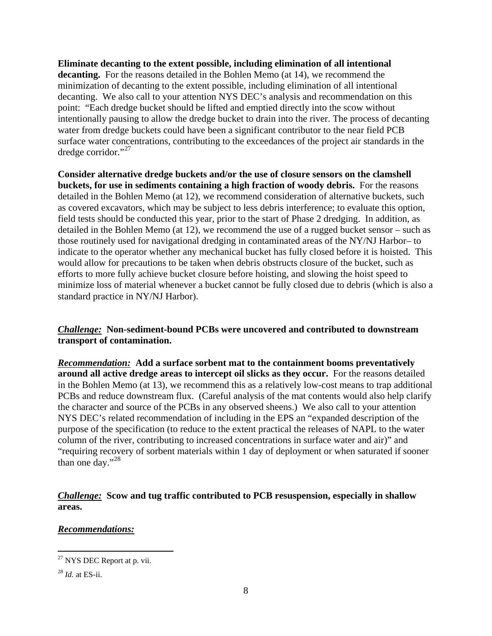**Eliminate decanting to the extent possible, including elimination of all intentional decanting.** For the reasons detailed in the Bohlen Memo (at 14), we recommend the minimization of decanting to the extent possible, including elimination of all intentional decanting. We also call to your attention NYS DEC's analysis and recommendation on this point: "Each dredge bucket should be lifted and emptied directly into the scow without intentionally pausing to allow the dredge bucket to drain into the river. The process of decanting water from dredge buckets could have been a significant contributor to the near field PCB surface water concentrations, contributing to the exceedances of the project air standards in the dredge corridor." $^{27}$  $^{27}$  $^{27}$ 

**Consider alternative dredge buckets and/or the use of closure sensors on the clamshell buckets, for use in sediments containing a high fraction of woody debris.** For the reasons detailed in the Bohlen Memo (at 12), we recommend consideration of alternative buckets, such as covered excavators, which may be subject to less debris interference; to evaluate this option, field tests should be conducted this year, prior to the start of Phase 2 dredging. In addition, as detailed in the Bohlen Memo (at 12), we recommend the use of a rugged bucket sensor – such as those routinely used for navigational dredging in contaminated areas of the NY/NJ Harbor– to indicate to the operator whether any mechanical bucket has fully closed before it is hoisted. This would allow for precautions to be taken when debris obstructs closure of the bucket, such as efforts to more fully achieve bucket closure before hoisting, and slowing the hoist speed to minimize loss of material whenever a bucket cannot be fully closed due to debris (which is also a standard practice in NY/NJ Harbor).

# *Challenge:* **Non-sediment-bound PCBs were uncovered and contributed to downstream transport of contamination.**

*Recommendation:* **Add a surface sorbent mat to the containment booms preventatively around all active dredge areas to intercept oil slicks as they occur.** For the reasons detailed in the Bohlen Memo (at 13), we recommend this as a relatively low-cost means to trap additional PCBs and reduce downstream flux. (Careful analysis of the mat contents would also help clarify the character and source of the PCBs in any observed sheens.) We also call to your attention NYS DEC's related recommendation of including in the EPS an "expanded description of the purpose of the specification (to reduce to the extent practical the releases of NAPL to the water column of the river, contributing to increased concentrations in surface water and air)" and "requiring recovery of sorbent materials within 1 day of deployment or when saturated if sooner than one day." $^{28}$  $^{28}$  $^{28}$ 

# *Challenge:* **Scow and tug traffic contributed to PCB resuspension, especially in shallow areas.**

# *Recommendations:*

<span id="page-7-0"></span> $\overline{a}$ <sup>27</sup> NYS DEC Report at p. vii.

<span id="page-7-1"></span><sup>28</sup> *Id.* at ES-ii.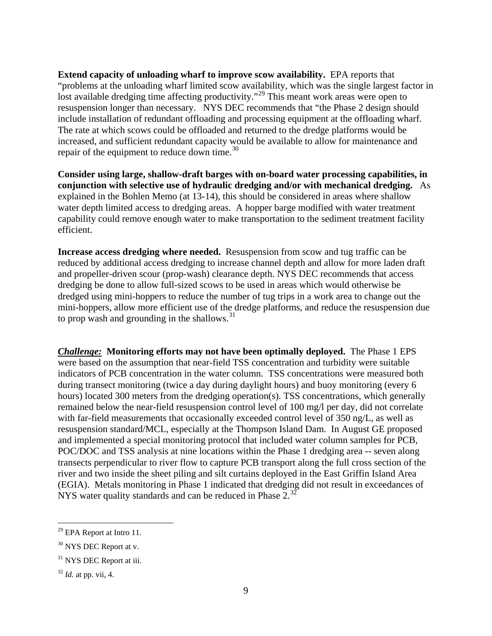**Extend capacity of unloading wharf to improve scow availability.** EPA reports that "problems at the unloading wharf limited scow availability, which was the single largest factor in lost available dredging time affecting productivity."<sup>[29](#page-8-0)</sup> This meant work areas were open to resuspension longer than necessary. NYS DEC recommends that "the Phase 2 design should include installation of redundant offloading and processing equipment at the offloading wharf. The rate at which scows could be offloaded and returned to the dredge platforms would be increased, and sufficient redundant capacity would be available to allow for maintenance and repair of the equipment to reduce down time.<sup>[30](#page-8-1)</sup>

**Consider using large, shallow-draft barges with on-board water processing capabilities, in conjunction with selective use of hydraulic dredging and/or with mechanical dredging.** As explained in the Bohlen Memo (at 13-14), this should be considered in areas where shallow water depth limited access to dredging areas. A hopper barge modified with water treatment capability could remove enough water to make transportation to the sediment treatment facility efficient.

**Increase access dredging where needed.** Resuspension from scow and tug traffic can be reduced by additional access dredging to increase channel depth and allow for more laden draft and propeller-driven scour (prop-wash) clearance depth. NYS DEC recommends that access dredging be done to allow full-sized scows to be used in areas which would otherwise be dredged using mini-hoppers to reduce the number of tug trips in a work area to change out the mini-hoppers, allow more efficient use of the dredge platforms, and reduce the resuspension due to prop wash and grounding in the shallows. $31$ 

*Challenge:* **Monitoring efforts may not have been optimally deployed.** The Phase 1 EPS were based on the assumption that near-field TSS concentration and turbidity were suitable indicators of PCB concentration in the water column. TSS concentrations were measured both during transect monitoring (twice a day during daylight hours) and buoy monitoring (every 6 hours) located 300 meters from the dredging operation(s). TSS concentrations, which generally remained below the near-field resuspension control level of 100 mg/l per day, did not correlate with far-field measurements that occasionally exceeded control level of 350 ng/L, as well as resuspension standard/MCL, especially at the Thompson Island Dam. In August GE proposed and implemented a special monitoring protocol that included water column samples for PCB, POC/DOC and TSS analysis at nine locations within the Phase 1 dredging area -- seven along transects perpendicular to river flow to capture PCB transport along the full cross section of the river and two inside the sheet piling and silt curtains deployed in the East Griffin Island Area (EGIA). Metals monitoring in Phase 1 indicated that dredging did not result in exceedances of NYS water quality standards and can be reduced in Phase  $2^{32}$  $2^{32}$  $2^{32}$ 

<span id="page-8-0"></span> $29$  EPA Report at Intro 11.

<span id="page-8-1"></span><sup>&</sup>lt;sup>30</sup> NYS DEC Report at v.

<span id="page-8-2"></span><sup>&</sup>lt;sup>31</sup> NYS DEC Report at iii.

<span id="page-8-3"></span><sup>32</sup> *Id.* at pp. vii, 4.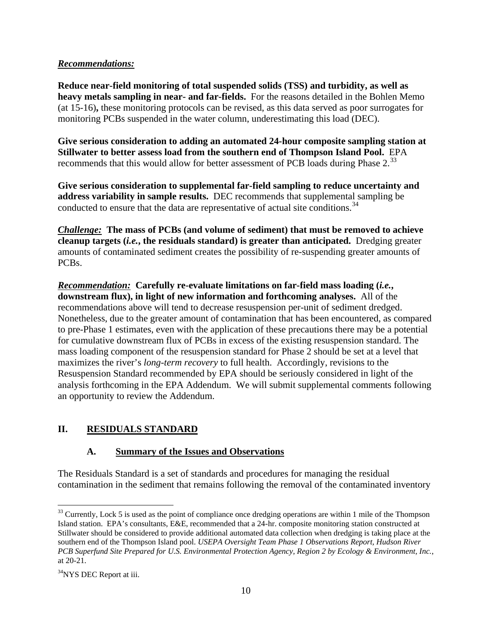## *Recommendations:*

**Reduce near-field monitoring of total suspended solids (TSS) and turbidity, as well as heavy metals sampling in near- and far-fields.** For the reasons detailed in the Bohlen Memo (at 15-16)**,** these monitoring protocols can be revised, as this data served as poor surrogates for monitoring PCBs suspended in the water column, underestimating this load (DEC).

**Give serious consideration to adding an automated 24-hour composite sampling station at Stillwater to better assess load from the southern end of Thompson Island Pool.** EPA recommends that this would allow for better assessment of PCB loads during Phase 2.<sup>[33](#page-9-0)</sup>

**Give serious consideration to supplemental far-field sampling to reduce uncertainty and address variability in sample results.** DEC recommends that supplemental sampling be conducted to ensure that the data are representative of actual site conditions.<sup>[34](#page-9-1)</sup>

*Challenge:* **The mass of PCBs (and volume of sediment) that must be removed to achieve cleanup targets (***i.e.***, the residuals standard) is greater than anticipated.** Dredging greater amounts of contaminated sediment creates the possibility of re-suspending greater amounts of PCBs.

*Recommendation:* **Carefully re-evaluate limitations on far-field mass loading (***i.e.***, downstream flux), in light of new information and forthcoming analyses.** All of the recommendations above will tend to decrease resuspension per-unit of sediment dredged. Nonetheless, due to the greater amount of contamination that has been encountered, as compared to pre-Phase 1 estimates, even with the application of these precautions there may be a potential for cumulative downstream flux of PCBs in excess of the existing resuspension standard. The mass loading component of the resuspension standard for Phase 2 should be set at a level that maximizes the river's *long-term recovery* to full health. Accordingly, revisions to the Resuspension Standard recommended by EPA should be seriously considered in light of the analysis forthcoming in the EPA Addendum. We will submit supplemental comments following an opportunity to review the Addendum.

# **II. RESIDUALS STANDARD**

# **A. Summary of the Issues and Observations**

The Residuals Standard is a set of standards and procedures for managing the residual contamination in the sediment that remains following the removal of the contaminated inventory

<span id="page-9-0"></span><sup>&</sup>lt;sup>33</sup> Currently, Lock 5 is used as the point of compliance once dredging operations are within 1 mile of the Thompson Island station. EPA's consultants, E&E, recommended that a 24-hr. composite monitoring station constructed at Stillwater should be considered to provide additional automated data collection when dredging is taking place at the southern end of the Thompson Island pool. *USEPA Oversight Team Phase 1 Observations Report, Hudson River PCB Superfund Site Prepared for U.S. Environmental Protection Agency, Region 2 by Ecology & Environment, Inc.*, at 20-21.

<span id="page-9-1"></span><sup>&</sup>lt;sup>34</sup>NYS DEC Report at iii.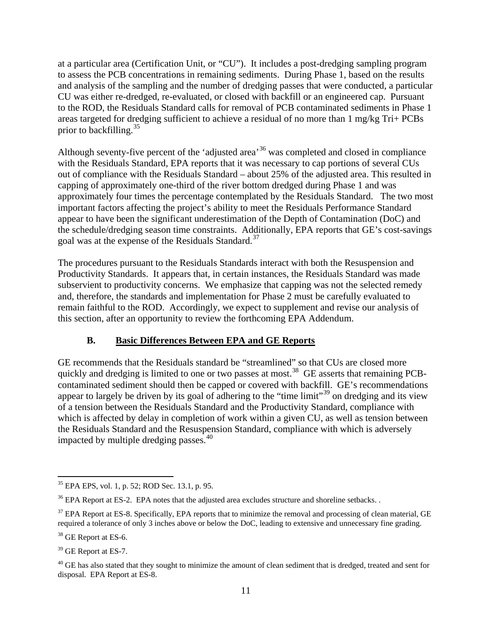at a particular area (Certification Unit, or "CU"). It includes a post-dredging sampling program to assess the PCB concentrations in remaining sediments. During Phase 1, based on the results and analysis of the sampling and the number of dredging passes that were conducted, a particular CU was either re-dredged, re-evaluated, or closed with backfill or an engineered cap. Pursuant to the ROD, the Residuals Standard calls for removal of PCB contaminated sediments in Phase 1 areas targeted for dredging sufficient to achieve a residual of no more than 1 mg/kg Tri+ PCBs prior to backfilling.<sup>[35](#page-10-0)</sup>

Although seventy-five percent of the 'adjusted area<sup>[36](#page-10-1)</sup> was completed and closed in compliance with the Residuals Standard, EPA reports that it was necessary to cap portions of several CUs out of compliance with the Residuals Standard – about 25% of the adjusted area. This resulted in capping of approximately one-third of the river bottom dredged during Phase 1 and was approximately four times the percentage contemplated by the Residuals Standard. The two most important factors affecting the project's ability to meet the Residuals Performance Standard appear to have been the significant underestimation of the Depth of Contamination (DoC) and the schedule/dredging season time constraints. Additionally, EPA reports that GE's cost-savings goal was at the expense of the Residuals Standard.<sup>[37](#page-10-2)</sup>

The procedures pursuant to the Residuals Standards interact with both the Resuspension and Productivity Standards. It appears that, in certain instances, the Residuals Standard was made subservient to productivity concerns. We emphasize that capping was not the selected remedy and, therefore, the standards and implementation for Phase 2 must be carefully evaluated to remain faithful to the ROD. Accordingly, we expect to supplement and revise our analysis of this section, after an opportunity to review the forthcoming EPA Addendum.

# **B. Basic Differences Between EPA and GE Reports**

GE recommends that the Residuals standard be "streamlined" so that CUs are closed more quickly and dredging is limited to one or two passes at most.<sup>[38](#page-10-3)</sup> GE asserts that remaining PCBcontaminated sediment should then be capped or covered with backfill. GE's recommendations appear to largely be driven by its goal of adhering to the "time limit"[39](#page-10-4) on dredging and its view of a tension between the Residuals Standard and the Productivity Standard, compliance with which is affected by delay in completion of work within a given CU, as well as tension between the Residuals Standard and the Resuspension Standard, compliance with which is adversely impacted by multiple dredging passes. $40$ 

<span id="page-10-0"></span><sup>35</sup> EPA EPS, vol. 1, p. 52; ROD Sec. 13.1, p. 95.

<span id="page-10-1"></span> $36$  EPA Report at ES-2. EPA notes that the adjusted area excludes structure and shoreline setbacks.

<span id="page-10-2"></span> $37$  EPA Report at ES-8. Specifically, EPA reports that to minimize the removal and processing of clean material, GE required a tolerance of only 3 inches above or below the DoC, leading to extensive and unnecessary fine grading.

<span id="page-10-3"></span><sup>&</sup>lt;sup>38</sup> GE Report at ES-6.

<span id="page-10-4"></span><sup>&</sup>lt;sup>39</sup> GE Report at ES-7.

<span id="page-10-5"></span> $40$  GE has also stated that they sought to minimize the amount of clean sediment that is dredged, treated and sent for disposal. EPA Report at ES-8.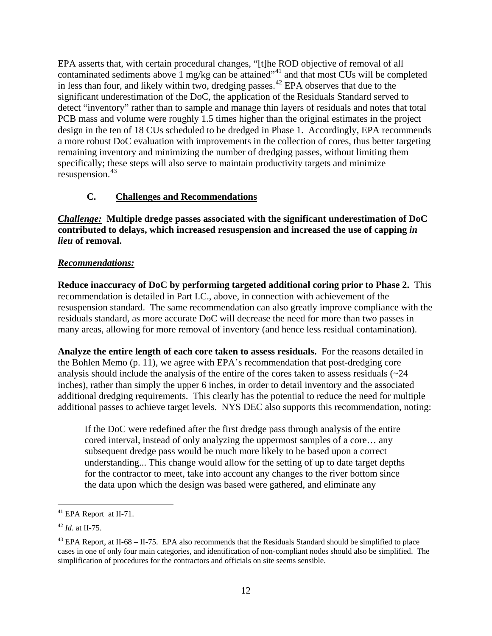EPA asserts that, with certain procedural changes, "[t]he ROD objective of removal of all contaminated sediments above 1 mg/kg can be attained"<sup>[41](#page-11-0)</sup> and that most CUs will be completed in less than four, and likely within two, dredging passes.<sup>[42](#page-11-1)</sup> EPA observes that due to the significant underestimation of the DoC, the application of the Residuals Standard served to detect "inventory" rather than to sample and manage thin layers of residuals and notes that total PCB mass and volume were roughly 1.5 times higher than the original estimates in the project design in the ten of 18 CUs scheduled to be dredged in Phase 1. Accordingly, EPA recommends a more robust DoC evaluation with improvements in the collection of cores, thus better targeting remaining inventory and minimizing the number of dredging passes, without limiting them specifically; these steps will also serve to maintain productivity targets and minimize resuspension.<sup>43</sup>

### **C. Challenges and Recommendations**

*Challenge:* **Multiple dredge passes associated with the significant underestimation of DoC contributed to delays, which increased resuspension and increased the use of capping** *in lieu* **of removal.** 

#### *Recommendations:*

**Reduce inaccuracy of DoC by performing targeted additional coring prior to Phase 2.** This recommendation is detailed in Part I.C., above, in connection with achievement of the resuspension standard. The same recommendation can also greatly improve compliance with the residuals standard, as more accurate DoC will decrease the need for more than two passes in many areas, allowing for more removal of inventory (and hence less residual contamination).

**Analyze the entire length of each core taken to assess residuals.** For the reasons detailed in the Bohlen Memo (p. 11), we agree with EPA's recommendation that post-dredging core analysis should include the analysis of the entire of the cores taken to assess residuals  $\langle 24 \rangle$ inches), rather than simply the upper 6 inches, in order to detail inventory and the associated additional dredging requirements. This clearly has the potential to reduce the need for multiple additional passes to achieve target levels. NYS DEC also supports this recommendation, noting:

If the DoC were redefined after the first dredge pass through analysis of the entire cored interval, instead of only analyzing the uppermost samples of a core… any subsequent dredge pass would be much more likely to be based upon a correct understanding... This change would allow for the setting of up to date target depths for the contractor to meet, take into account any changes to the river bottom since the data upon which the design was based were gathered, and eliminate any

<span id="page-11-0"></span><sup>&</sup>lt;sup>41</sup> EPA Report at II-71.

<span id="page-11-1"></span><sup>42</sup> *Id*. at II-75.

<span id="page-11-2"></span><sup>&</sup>lt;sup>43</sup> EPA Report, at II-68 – II-75. EPA also recommends that the Residuals Standard should be simplified to place cases in one of only four main categories, and identification of non-compliant nodes should also be simplified. The simplification of procedures for the contractors and officials on site seems sensible.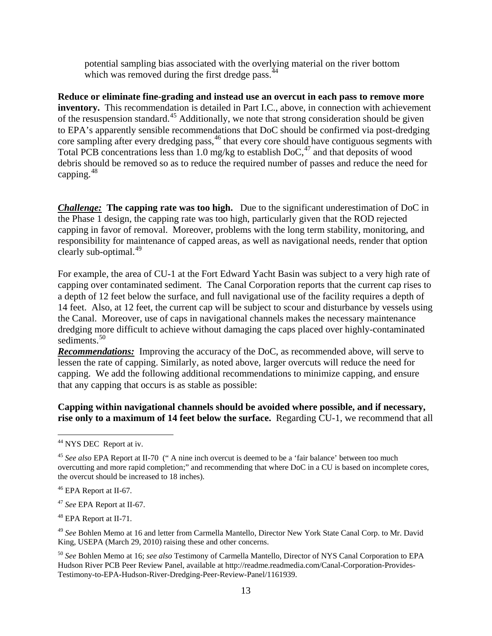potential sampling bias associated with the overlying material on the river bottom which was removed during the first dredge pass.  $44$ 

**Reduce or eliminate fine-grading and instead use an overcut in each pass to remove more inventory.** This recommendation is detailed in Part I.C., above, in connection with achievement of the resuspension standard.[45](#page-12-1) Additionally, we note that strong consideration should be given to EPA's apparently sensible recommendations that DoC should be confirmed via post-dredging core sampling after every dredging pass,<sup>[46](#page-12-2)</sup> that every core should have contiguous segments with Total PCB concentrations less than 1.0 mg/kg to establish DoC, [47](#page-12-3) and that deposits of wood debris should be removed so as to reduce the required number of passes and reduce the need for capping. [48](#page-12-4)

*Challenge:* **The capping rate was too high.** Due to the significant underestimation of DoC in the Phase 1 design, the capping rate was too high, particularly given that the ROD rejected capping in favor of removal. Moreover, problems with the long term stability, monitoring, and responsibility for maintenance of capped areas, as well as navigational needs, render that option clearly sub-optimal. $49$ 

For example, the area of CU-1 at the Fort Edward Yacht Basin was subject to a very high rate of capping over contaminated sediment. The Canal Corporation reports that the current cap rises to a depth of 12 feet below the surface, and full navigational use of the facility requires a depth of 14 feet. Also, at 12 feet, the current cap will be subject to scour and disturbance by vessels using the Canal. Moreover, use of caps in navigational channels makes the necessary maintenance dredging more difficult to achieve without damaging the caps placed over highly-contaminated sediments.<sup>[50](#page-12-6)</sup>

*Recommendations:* Improving the accuracy of the DoC, as recommended above, will serve to lessen the rate of capping. Similarly, as noted above, larger overcuts will reduce the need for capping. We add the following additional recommendations to minimize capping, and ensure that any capping that occurs is as stable as possible:

## **Capping within navigational channels should be avoided where possible, and if necessary, rise only to a maximum of 14 feet below the surface.** Regarding CU-1, we recommend that all

<span id="page-12-0"></span><sup>44</sup> NYS DEC Report at iv.

<span id="page-12-1"></span><sup>45</sup> *See also* EPA Report at II-70 (" A nine inch overcut is deemed to be a 'fair balance' between too much overcutting and more rapid completion;" and recommending that where DoC in a CU is based on incomplete cores, the overcut should be increased to 18 inches).

<span id="page-12-2"></span><sup>&</sup>lt;sup>46</sup> EPA Report at II-67.

<span id="page-12-3"></span><sup>47</sup> *See* EPA Report at II-67.

<span id="page-12-4"></span><sup>48</sup> EPA Report at II-71.

<span id="page-12-5"></span><sup>49</sup> *See* Bohlen Memo at 16 and letter from Carmella Mantello, Director New York State Canal Corp. to Mr. David King, USEPA (March 29, 2010) raising these and other concerns.

<span id="page-12-6"></span><sup>50</sup> *See* Bohlen Memo at 16; *see also* Testimony of Carmella Mantello, Director of NYS Canal Corporation to EPA Hudson River PCB Peer Review Panel, available at http://readme.readmedia.com/Canal-Corporation-Provides-Testimony-to-EPA-Hudson-River-Dredging-Peer-Review-Panel/1161939.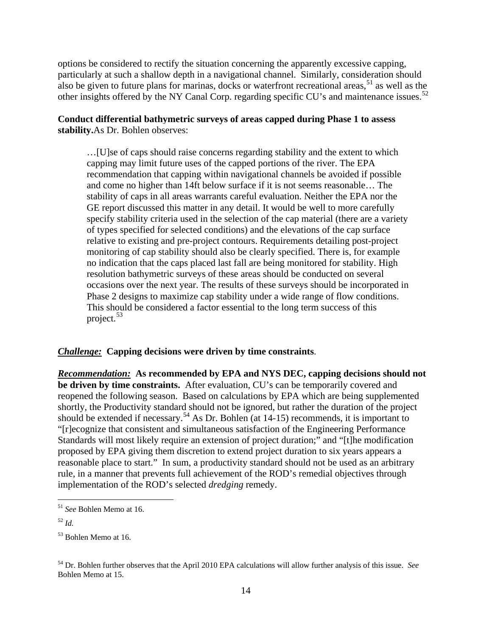options be considered to rectify the situation concerning the apparently excessive capping, particularly at such a shallow depth in a navigational channel. Similarly, consideration should also be given to future plans for marinas, docks or waterfront recreational areas, [51](#page-13-0) as well as the other insights offered by the NY Canal Corp. regarding specific CU's and maintenance issues.<sup>[52](#page-13-1)</sup>

## **Conduct differential bathymetric surveys of areas capped during Phase 1 to assess stability.**As Dr. Bohlen observes:

…[U]se of caps should raise concerns regarding stability and the extent to which capping may limit future uses of the capped portions of the river. The EPA recommendation that capping within navigational channels be avoided if possible and come no higher than 14ft below surface if it is not seems reasonable… The stability of caps in all areas warrants careful evaluation. Neither the EPA nor the GE report discussed this matter in any detail. It would be well to more carefully specify stability criteria used in the selection of the cap material (there are a variety of types specified for selected conditions) and the elevations of the cap surface relative to existing and pre-project contours. Requirements detailing post-project monitoring of cap stability should also be clearly specified. There is, for example no indication that the caps placed last fall are being monitored for stability. High resolution bathymetric surveys of these areas should be conducted on several occasions over the next year. The results of these surveys should be incorporated in Phase 2 designs to maximize cap stability under a wide range of flow conditions. This should be considered a factor essential to the long term success of this project.<sup>[53](#page-13-2)</sup>

## *Challenge:* **Capping decisions were driven by time constraints**.

*Recommendation:* **As recommended by EPA and NYS DEC, capping decisions should not be driven by time constraints.** After evaluation, CU's can be temporarily covered and reopened the following season. Based on calculations by EPA which are being supplemented shortly, the Productivity standard should not be ignored, but rather the duration of the project should be extended if necessary.<sup>[54](#page-13-3)</sup> As Dr. Bohlen (at 14-15) recommends, it is important to "[r]ecognize that consistent and simultaneous satisfaction of the Engineering Performance Standards will most likely require an extension of project duration;" and "[t]he modification proposed by EPA giving them discretion to extend project duration to six years appears a reasonable place to start." In sum, a productivity standard should not be used as an arbitrary rule, in a manner that prevents full achievement of the ROD's remedial objectives through implementation of the ROD's selected *dredging* remedy.

<span id="page-13-0"></span><sup>51</sup> *See* Bohlen Memo at 16.

<span id="page-13-1"></span><sup>52</sup> *Id.*

<span id="page-13-2"></span><sup>&</sup>lt;sup>53</sup> Bohlen Memo at 16.

<span id="page-13-3"></span><sup>54</sup> Dr. Bohlen further observes that the April 2010 EPA calculations will allow further analysis of this issue. *See* Bohlen Memo at 15.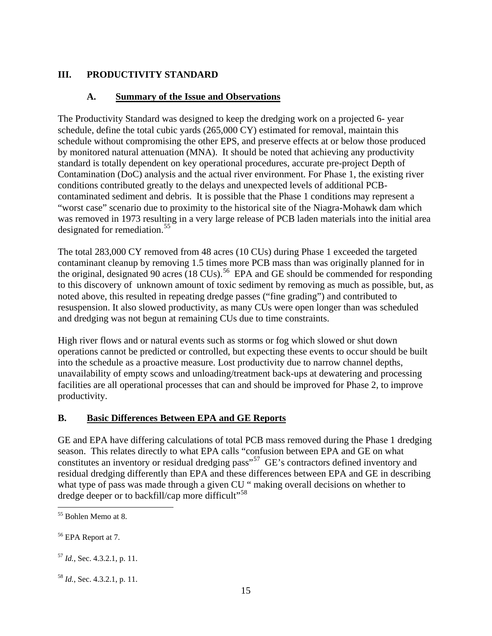# **III. PRODUCTIVITY STANDARD**

## **A. Summary of the Issue and Observations**

The Productivity Standard was designed to keep the dredging work on a projected 6- year schedule, define the total cubic yards (265,000 CY) estimated for removal, maintain this schedule without compromising the other EPS, and preserve effects at or below those produced by monitored natural attenuation (MNA). It should be noted that achieving any productivity standard is totally dependent on key operational procedures, accurate pre-project Depth of Contamination (DoC) analysis and the actual river environment. For Phase 1, the existing river conditions contributed greatly to the delays and unexpected levels of additional PCBcontaminated sediment and debris. It is possible that the Phase 1 conditions may represent a "worst case" scenario due to proximity to the historical site of the Niagra-Mohawk dam which was removed in 1973 resulting in a very large release of PCB laden materials into the initial area designated for remediation.<sup>[55](#page-14-0)</sup>

The total 283,000 CY removed from 48 acres (10 CUs) during Phase 1 exceeded the targeted contaminant cleanup by removing 1.5 times more PCB mass than was originally planned for in the original, designated 90 acres  $(18 \text{ CUs})$ .<sup>[56](#page-14-1)</sup> EPA and GE should be commended for responding to this discovery of unknown amount of toxic sediment by removing as much as possible, but, as noted above, this resulted in repeating dredge passes ("fine grading") and contributed to resuspension. It also slowed productivity, as many CUs were open longer than was scheduled and dredging was not begun at remaining CUs due to time constraints.

High river flows and or natural events such as storms or fog which slowed or shut down operations cannot be predicted or controlled, but expecting these events to occur should be built into the schedule as a proactive measure. Lost productivity due to narrow channel depths, unavailability of empty scows and unloading/treatment back-ups at dewatering and processing facilities are all operational processes that can and should be improved for Phase 2, to improve productivity.

# **B. Basic Differences Between EPA and GE Reports**

GE and EPA have differing calculations of total PCB mass removed during the Phase 1 dredging season. This relates directly to what EPA calls "confusion between EPA and GE on what constitutes an inventory or residual dredging pass<sup>"[57](#page-14-2)</sup> GE's contractors defined inventory and residual dredging differently than EPA and these differences between EPA and GE in describing what type of pass was made through a given CU " making overall decisions on whether to dredge deeper or to backfill/cap more difficult"<sup>[58](#page-14-3)</sup>

<span id="page-14-0"></span><sup>55</sup> Bohlen Memo at 8.

<span id="page-14-1"></span><sup>56</sup> EPA Report at 7.

<span id="page-14-2"></span><sup>57</sup> *Id.*, Sec. 4.3.2.1, p. 11.

<span id="page-14-3"></span><sup>58</sup> *Id.*, Sec. 4.3.2.1, p. 11.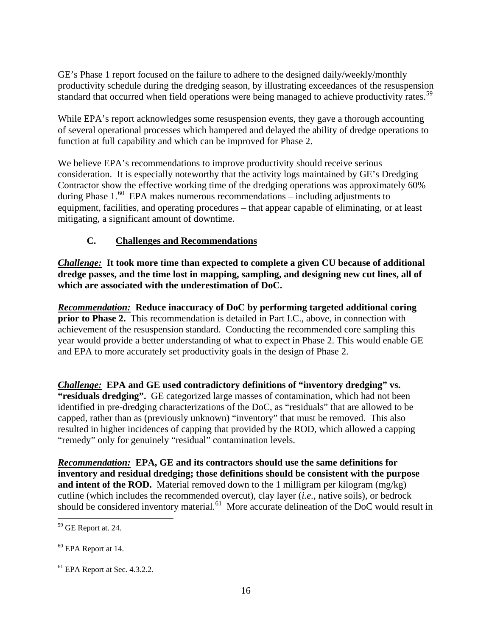GE's Phase 1 report focused on the failure to adhere to the designed daily/weekly/monthly productivity schedule during the dredging season, by illustrating exceedances of the resuspension standard that occurred when field operations were being managed to achieve productivity rates.<sup>[59](#page-15-0)</sup>

While EPA's report acknowledges some resuspension events, they gave a thorough accounting of several operational processes which hampered and delayed the ability of dredge operations to function at full capability and which can be improved for Phase 2.

We believe EPA's recommendations to improve productivity should receive serious consideration. It is especially noteworthy that the activity logs maintained by GE's Dredging Contractor show the effective working time of the dredging operations was approximately 60% during Phase 1. [60](#page-15-1) EPA makes numerous recommendations – including adjustments to equipment, facilities, and operating procedures – that appear capable of eliminating, or at least mitigating, a significant amount of downtime.

# **C. Challenges and Recommendations**

*Challenge:* **It took more time than expected to complete a given CU because of additional dredge passes, and the time lost in mapping, sampling, and designing new cut lines, all of which are associated with the underestimation of DoC.**

*Recommendation:* **Reduce inaccuracy of DoC by performing targeted additional coring prior to Phase 2.** This recommendation is detailed in Part I.C., above, in connection with achievement of the resuspension standard. Conducting the recommended core sampling this year would provide a better understanding of what to expect in Phase 2. This would enable GE and EPA to more accurately set productivity goals in the design of Phase 2.

*Challenge:* **EPA and GE used contradictory definitions of "inventory dredging" vs. "residuals dredging".** GE categorized large masses of contamination, which had not been identified in pre-dredging characterizations of the DoC, as "residuals" that are allowed to be capped, rather than as (previously unknown) "inventory" that must be removed. This also resulted in higher incidences of capping that provided by the ROD, which allowed a capping "remedy" only for genuinely "residual" contamination levels.

*Recommendation:* **EPA, GE and its contractors should use the same definitions for inventory and residual dredging; those definitions should be consistent with the purpose and intent of the ROD.** Material removed down to the 1 milligram per kilogram ( $mg/kg$ ) cutline (which includes the recommended overcut), clay layer (*i.e.*, native soils), or bedrock should be considered inventory material.<sup>[61](#page-15-2)</sup> More accurate delineation of the DoC would result in

<span id="page-15-0"></span><sup>59</sup> GE Report at. 24.

<span id="page-15-1"></span><sup>60</sup> EPA Report at 14.

<span id="page-15-2"></span> $<sup>61</sup>$  EPA Report at Sec. 4.3.2.2.</sup>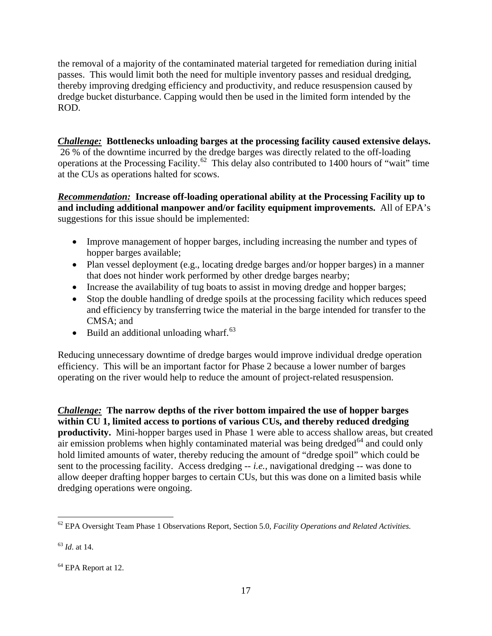the removal of a majority of the contaminated material targeted for remediation during initial passes. This would limit both the need for multiple inventory passes and residual dredging, thereby improving dredging efficiency and productivity, and reduce resuspension caused by dredge bucket disturbance. Capping would then be used in the limited form intended by the ROD.

# *Challenge:* **Bottlenecks unloading barges at the processing facility caused extensive delays.** 26 % of the downtime incurred by the dredge barges was directly related to the off-loading operations at the Processing Facility.<sup>62</sup> This delay also contributed to 1400 hours of "wait" time at the CUs as operations halted for scows.

*Recommendation:* **Increase off-loading operational ability at the Processing Facility up to and including additional manpower and/or facility equipment improvements.** All of EPA's suggestions for this issue should be implemented:

- Improve management of hopper barges, including increasing the number and types of hopper barges available;
- Plan vessel deployment (e.g., locating dredge barges and/or hopper barges) in a manner that does not hinder work performed by other dredge barges nearby;
- Increase the availability of tug boats to assist in moving dredge and hopper barges;
- Stop the double handling of dredge spoils at the processing facility which reduces speed and efficiency by transferring twice the material in the barge intended for transfer to the CMSA; and
- Build an additional unloading wharf.<sup>[63](#page-16-1)</sup>

Reducing unnecessary downtime of dredge barges would improve individual dredge operation efficiency. This will be an important factor for Phase 2 because a lower number of barges operating on the river would help to reduce the amount of project-related resuspension.

*Challenge:* **The narrow depths of the river bottom impaired the use of hopper barges within CU 1, limited access to portions of various CUs, and thereby reduced dredging productivity.** Mini-hopper barges used in Phase 1 were able to access shallow areas, but created air emission problems when highly contaminated material was being dredged $^{64}$  $^{64}$  $^{64}$  and could only hold limited amounts of water, thereby reducing the amount of "dredge spoil" which could be sent to the processing facility. Access dredging -- *i.e.*, navigational dredging -- was done to allow deeper drafting hopper barges to certain CUs, but this was done on a limited basis while dredging operations were ongoing.

<span id="page-16-0"></span><sup>62</sup> EPA Oversight Team Phase 1 Observations Report, Section 5.0, *Facility Operations and Related Activities.*

<span id="page-16-1"></span><sup>63</sup> *Id*. at 14.

<span id="page-16-2"></span><sup>64</sup> EPA Report at 12.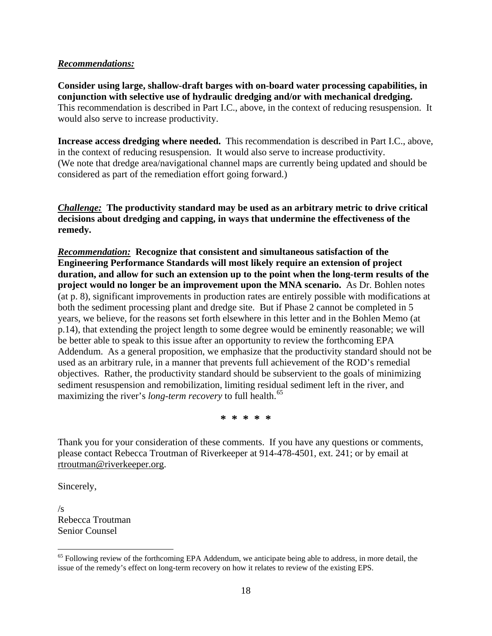### *Recommendations:*

**Consider using large, shallow-draft barges with on-board water processing capabilities, in conjunction with selective use of hydraulic dredging and/or with mechanical dredging.**  This recommendation is described in Part I.C., above, in the context of reducing resuspension. It would also serve to increase productivity.

**Increase access dredging where needed.** This recommendation is described in Part I.C., above, in the context of reducing resuspension. It would also serve to increase productivity. (We note that dredge area/navigational channel maps are currently being updated and should be considered as part of the remediation effort going forward.)

*Challenge:* **The productivity standard may be used as an arbitrary metric to drive critical decisions about dredging and capping, in ways that undermine the effectiveness of the remedy.**

*Recommendation:* **Recognize that consistent and simultaneous satisfaction of the Engineering Performance Standards will most likely require an extension of project duration, and allow for such an extension up to the point when the long-term results of the project would no longer be an improvement upon the MNA scenario.** As Dr. Bohlen notes (at p. 8), significant improvements in production rates are entirely possible with modifications at both the sediment processing plant and dredge site. But if Phase 2 cannot be completed in 5 years, we believe, for the reasons set forth elsewhere in this letter and in the Bohlen Memo (at p.14), that extending the project length to some degree would be eminently reasonable; we will be better able to speak to this issue after an opportunity to review the forthcoming EPA Addendum. As a general proposition, we emphasize that the productivity standard should not be used as an arbitrary rule, in a manner that prevents full achievement of the ROD's remedial objectives. Rather, the productivity standard should be subservient to the goals of minimizing sediment resuspension and remobilization, limiting residual sediment left in the river, and maximizing the river's *long-term recovery* to full health.<sup>[65](#page-17-0)</sup>

**\* \* \* \* \***

Thank you for your consideration of these comments. If you have any questions or comments, please contact Rebecca Troutman of Riverkeeper at 914-478-4501, ext. 241; or by email at rtroutman@riverkeeper.org.

Sincerely,

 $\overline{a}$ 

 $\sqrt{s}$ Rebecca Troutman Senior Counsel

<span id="page-17-0"></span><sup>&</sup>lt;sup>65</sup> Following review of the forthcoming EPA Addendum, we anticipate being able to address, in more detail, the issue of the remedy's effect on long-term recovery on how it relates to review of the existing EPS.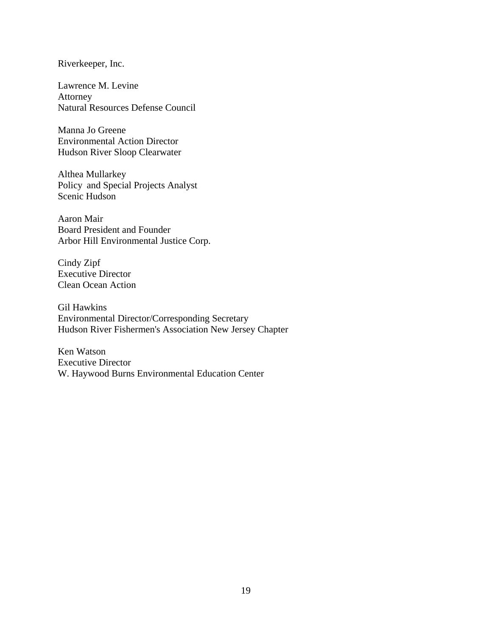#### Riverkeeper, Inc.

Lawrence M. Levine Attorney Natural Resources Defense Council

Manna Jo Greene Environmental Action Director Hudson River Sloop Clearwater

Althea Mullarkey Policy and Special Projects Analyst Scenic Hudson

Aaron Mair Board President and Founder Arbor Hill Environmental Justice Corp.

Cindy Zipf Executive Director Clean Ocean Action

Gil Hawkins Environmental Director/Corresponding Secretary Hudson River Fishermen's Association New Jersey Chapter

Ken Watson Executive Director W. Haywood Burns Environmental Education Center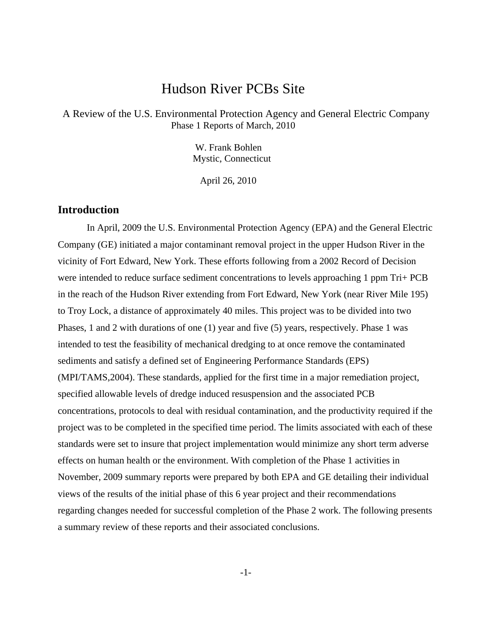# Hudson River PCBs Site

 A Review of the U.S. Environmental Protection Agency and General Electric Company Phase 1 Reports of March, 2010

> W. Frank Bohlen Mystic, Connecticut

April 26, 2010

# **Introduction**

 In April, 2009 the U.S. Environmental Protection Agency (EPA) and the General Electric Company (GE) initiated a major contaminant removal project in the upper Hudson River in the vicinity of Fort Edward, New York. These efforts following from a 2002 Record of Decision were intended to reduce surface sediment concentrations to levels approaching 1 ppm Tri+ PCB in the reach of the Hudson River extending from Fort Edward, New York (near River Mile 195) to Troy Lock, a distance of approximately 40 miles. This project was to be divided into two Phases, 1 and 2 with durations of one (1) year and five (5) years, respectively. Phase 1 was intended to test the feasibility of mechanical dredging to at once remove the contaminated sediments and satisfy a defined set of Engineering Performance Standards (EPS) (MPI/TAMS,2004). These standards, applied for the first time in a major remediation project, specified allowable levels of dredge induced resuspension and the associated PCB concentrations, protocols to deal with residual contamination, and the productivity required if the project was to be completed in the specified time period. The limits associated with each of these standards were set to insure that project implementation would minimize any short term adverse effects on human health or the environment. With completion of the Phase 1 activities in November, 2009 summary reports were prepared by both EPA and GE detailing their individual views of the results of the initial phase of this 6 year project and their recommendations regarding changes needed for successful completion of the Phase 2 work. The following presents a summary review of these reports and their associated conclusions.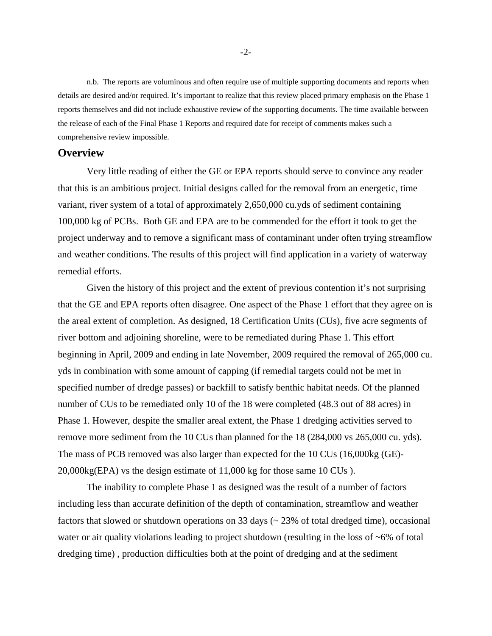n.b. The reports are voluminous and often require use of multiple supporting documents and reports when details are desired and/or required. It's important to realize that this review placed primary emphasis on the Phase 1 reports themselves and did not include exhaustive review of the supporting documents. The time available between the release of each of the Final Phase 1 Reports and required date for receipt of comments makes such a comprehensive review impossible.

#### **Overview**

 Very little reading of either the GE or EPA reports should serve to convince any reader that this is an ambitious project. Initial designs called for the removal from an energetic, time variant, river system of a total of approximately 2,650,000 cu.yds of sediment containing 100,000 kg of PCBs. Both GE and EPA are to be commended for the effort it took to get the project underway and to remove a significant mass of contaminant under often trying streamflow and weather conditions. The results of this project will find application in a variety of waterway remedial efforts.

 Given the history of this project and the extent of previous contention it's not surprising that the GE and EPA reports often disagree. One aspect of the Phase 1 effort that they agree on is the areal extent of completion. As designed, 18 Certification Units (CUs), five acre segments of river bottom and adjoining shoreline, were to be remediated during Phase 1. This effort beginning in April, 2009 and ending in late November, 2009 required the removal of 265,000 cu. yds in combination with some amount of capping (if remedial targets could not be met in specified number of dredge passes) or backfill to satisfy benthic habitat needs. Of the planned number of CUs to be remediated only 10 of the 18 were completed (48.3 out of 88 acres) in Phase 1. However, despite the smaller areal extent, the Phase 1 dredging activities served to remove more sediment from the 10 CUs than planned for the 18 (284,000 vs 265,000 cu. yds). The mass of PCB removed was also larger than expected for the 10 CUs (16,000kg (GE)- 20,000kg(EPA) vs the design estimate of 11,000 kg for those same 10 CUs ).

 The inability to complete Phase 1 as designed was the result of a number of factors including less than accurate definition of the depth of contamination, streamflow and weather factors that slowed or shutdown operations on 33 days (~ 23% of total dredged time), occasional water or air quality violations leading to project shutdown (resulting in the loss of ~6% of total dredging time) , production difficulties both at the point of dredging and at the sediment

-2-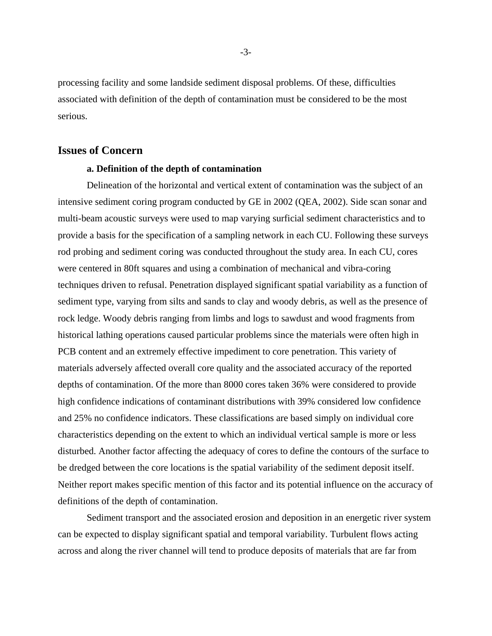processing facility and some landside sediment disposal problems. Of these, difficulties associated with definition of the depth of contamination must be considered to be the most serious.

## **Issues of Concern**

#### **a. Definition of the depth of contamination**

 Delineation of the horizontal and vertical extent of contamination was the subject of an intensive sediment coring program conducted by GE in 2002 (QEA, 2002). Side scan sonar and multi-beam acoustic surveys were used to map varying surficial sediment characteristics and to provide a basis for the specification of a sampling network in each CU. Following these surveys rod probing and sediment coring was conducted throughout the study area. In each CU, cores were centered in 80ft squares and using a combination of mechanical and vibra-coring techniques driven to refusal. Penetration displayed significant spatial variability as a function of sediment type, varying from silts and sands to clay and woody debris, as well as the presence of rock ledge. Woody debris ranging from limbs and logs to sawdust and wood fragments from historical lathing operations caused particular problems since the materials were often high in PCB content and an extremely effective impediment to core penetration. This variety of materials adversely affected overall core quality and the associated accuracy of the reported depths of contamination. Of the more than 8000 cores taken 36% were considered to provide high confidence indications of contaminant distributions with 39% considered low confidence and 25% no confidence indicators. These classifications are based simply on individual core characteristics depending on the extent to which an individual vertical sample is more or less disturbed. Another factor affecting the adequacy of cores to define the contours of the surface to be dredged between the core locations is the spatial variability of the sediment deposit itself. Neither report makes specific mention of this factor and its potential influence on the accuracy of definitions of the depth of contamination.

 Sediment transport and the associated erosion and deposition in an energetic river system can be expected to display significant spatial and temporal variability. Turbulent flows acting across and along the river channel will tend to produce deposits of materials that are far from

-3-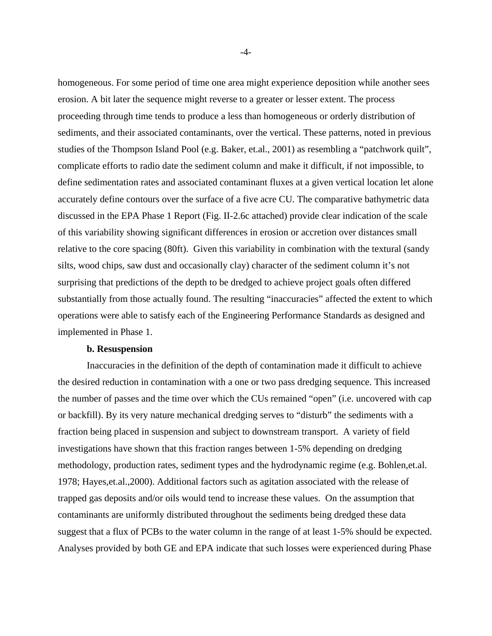homogeneous. For some period of time one area might experience deposition while another sees erosion. A bit later the sequence might reverse to a greater or lesser extent. The process proceeding through time tends to produce a less than homogeneous or orderly distribution of sediments, and their associated contaminants, over the vertical. These patterns, noted in previous studies of the Thompson Island Pool (e.g. Baker, et.al., 2001) as resembling a "patchwork quilt", complicate efforts to radio date the sediment column and make it difficult, if not impossible, to define sedimentation rates and associated contaminant fluxes at a given vertical location let alone accurately define contours over the surface of a five acre CU. The comparative bathymetric data discussed in the EPA Phase 1 Report (Fig. II-2.6c attached) provide clear indication of the scale of this variability showing significant differences in erosion or accretion over distances small relative to the core spacing (80ft). Given this variability in combination with the textural (sandy silts, wood chips, saw dust and occasionally clay) character of the sediment column it's not surprising that predictions of the depth to be dredged to achieve project goals often differed substantially from those actually found. The resulting "inaccuracies" affected the extent to which operations were able to satisfy each of the Engineering Performance Standards as designed and implemented in Phase 1.

#### **b. Resuspension**

 Inaccuracies in the definition of the depth of contamination made it difficult to achieve the desired reduction in contamination with a one or two pass dredging sequence. This increased the number of passes and the time over which the CUs remained "open" (i.e. uncovered with cap or backfill). By its very nature mechanical dredging serves to "disturb" the sediments with a fraction being placed in suspension and subject to downstream transport. A variety of field investigations have shown that this fraction ranges between 1-5% depending on dredging methodology, production rates, sediment types and the hydrodynamic regime (e.g. Bohlen,et.al. 1978; Hayes,et.al.,2000). Additional factors such as agitation associated with the release of trapped gas deposits and/or oils would tend to increase these values. On the assumption that contaminants are uniformly distributed throughout the sediments being dredged these data suggest that a flux of PCBs to the water column in the range of at least 1-5% should be expected. Analyses provided by both GE and EPA indicate that such losses were experienced during Phase

-4-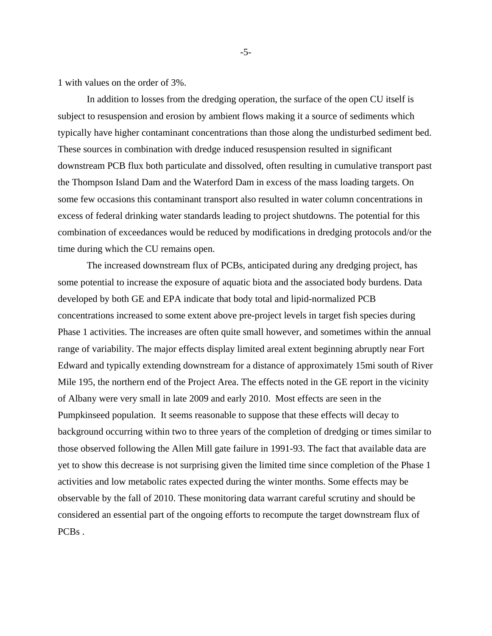1 with values on the order of 3%.

 In addition to losses from the dredging operation, the surface of the open CU itself is subject to resuspension and erosion by ambient flows making it a source of sediments which typically have higher contaminant concentrations than those along the undisturbed sediment bed. These sources in combination with dredge induced resuspension resulted in significant downstream PCB flux both particulate and dissolved, often resulting in cumulative transport past the Thompson Island Dam and the Waterford Dam in excess of the mass loading targets. On some few occasions this contaminant transport also resulted in water column concentrations in excess of federal drinking water standards leading to project shutdowns. The potential for this combination of exceedances would be reduced by modifications in dredging protocols and/or the time during which the CU remains open.

 The increased downstream flux of PCBs, anticipated during any dredging project, has some potential to increase the exposure of aquatic biota and the associated body burdens. Data developed by both GE and EPA indicate that body total and lipid-normalized PCB concentrations increased to some extent above pre-project levels in target fish species during Phase 1 activities. The increases are often quite small however, and sometimes within the annual range of variability. The major effects display limited areal extent beginning abruptly near Fort Edward and typically extending downstream for a distance of approximately 15mi south of River Mile 195, the northern end of the Project Area. The effects noted in the GE report in the vicinity of Albany were very small in late 2009 and early 2010. Most effects are seen in the Pumpkinseed population. It seems reasonable to suppose that these effects will decay to background occurring within two to three years of the completion of dredging or times similar to those observed following the Allen Mill gate failure in 1991-93. The fact that available data are yet to show this decrease is not surprising given the limited time since completion of the Phase 1 activities and low metabolic rates expected during the winter months. Some effects may be observable by the fall of 2010. These monitoring data warrant careful scrutiny and should be considered an essential part of the ongoing efforts to recompute the target downstream flux of PCB<sub>s</sub>.

-5-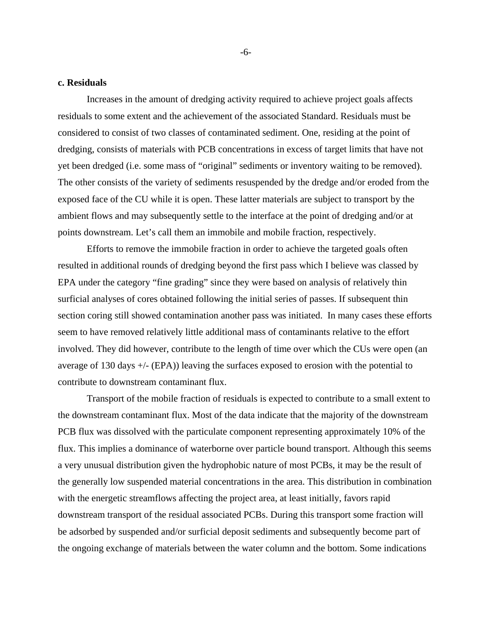#### **c. Residuals**

 Increases in the amount of dredging activity required to achieve project goals affects residuals to some extent and the achievement of the associated Standard. Residuals must be considered to consist of two classes of contaminated sediment. One, residing at the point of dredging, consists of materials with PCB concentrations in excess of target limits that have not yet been dredged (i.e. some mass of "original" sediments or inventory waiting to be removed). The other consists of the variety of sediments resuspended by the dredge and/or eroded from the exposed face of the CU while it is open. These latter materials are subject to transport by the ambient flows and may subsequently settle to the interface at the point of dredging and/or at points downstream. Let's call them an immobile and mobile fraction, respectively.

 Efforts to remove the immobile fraction in order to achieve the targeted goals often resulted in additional rounds of dredging beyond the first pass which I believe was classed by EPA under the category "fine grading" since they were based on analysis of relatively thin surficial analyses of cores obtained following the initial series of passes. If subsequent thin section coring still showed contamination another pass was initiated. In many cases these efforts seem to have removed relatively little additional mass of contaminants relative to the effort involved. They did however, contribute to the length of time over which the CUs were open (an average of 130 days +/- (EPA)) leaving the surfaces exposed to erosion with the potential to contribute to downstream contaminant flux.

 Transport of the mobile fraction of residuals is expected to contribute to a small extent to the downstream contaminant flux. Most of the data indicate that the majority of the downstream PCB flux was dissolved with the particulate component representing approximately 10% of the flux. This implies a dominance of waterborne over particle bound transport. Although this seems a very unusual distribution given the hydrophobic nature of most PCBs, it may be the result of the generally low suspended material concentrations in the area. This distribution in combination with the energetic streamflows affecting the project area, at least initially, favors rapid downstream transport of the residual associated PCBs. During this transport some fraction will be adsorbed by suspended and/or surficial deposit sediments and subsequently become part of the ongoing exchange of materials between the water column and the bottom. Some indications

-6-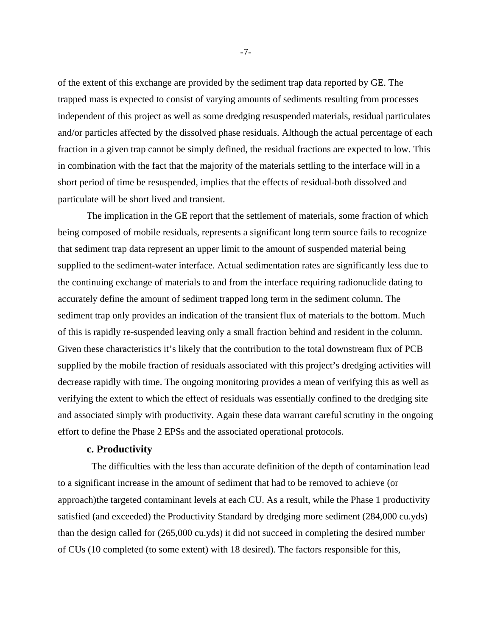of the extent of this exchange are provided by the sediment trap data reported by GE. The trapped mass is expected to consist of varying amounts of sediments resulting from processes independent of this project as well as some dredging resuspended materials, residual particulates and/or particles affected by the dissolved phase residuals. Although the actual percentage of each fraction in a given trap cannot be simply defined, the residual fractions are expected to low. This in combination with the fact that the majority of the materials settling to the interface will in a short period of time be resuspended, implies that the effects of residual-both dissolved and particulate will be short lived and transient.

 The implication in the GE report that the settlement of materials, some fraction of which being composed of mobile residuals, represents a significant long term source fails to recognize that sediment trap data represent an upper limit to the amount of suspended material being supplied to the sediment-water interface. Actual sedimentation rates are significantly less due to the continuing exchange of materials to and from the interface requiring radionuclide dating to accurately define the amount of sediment trapped long term in the sediment column. The sediment trap only provides an indication of the transient flux of materials to the bottom. Much of this is rapidly re-suspended leaving only a small fraction behind and resident in the column. Given these characteristics it's likely that the contribution to the total downstream flux of PCB supplied by the mobile fraction of residuals associated with this project's dredging activities will decrease rapidly with time. The ongoing monitoring provides a mean of verifying this as well as verifying the extent to which the effect of residuals was essentially confined to the dredging site and associated simply with productivity. Again these data warrant careful scrutiny in the ongoing effort to define the Phase 2 EPSs and the associated operational protocols.

#### **c. Productivity**

 The difficulties with the less than accurate definition of the depth of contamination lead to a significant increase in the amount of sediment that had to be removed to achieve (or approach)the targeted contaminant levels at each CU. As a result, while the Phase 1 productivity satisfied (and exceeded) the Productivity Standard by dredging more sediment (284,000 cu.yds) than the design called for (265,000 cu.yds) it did not succeed in completing the desired number of CUs (10 completed (to some extent) with 18 desired). The factors responsible for this,

-7-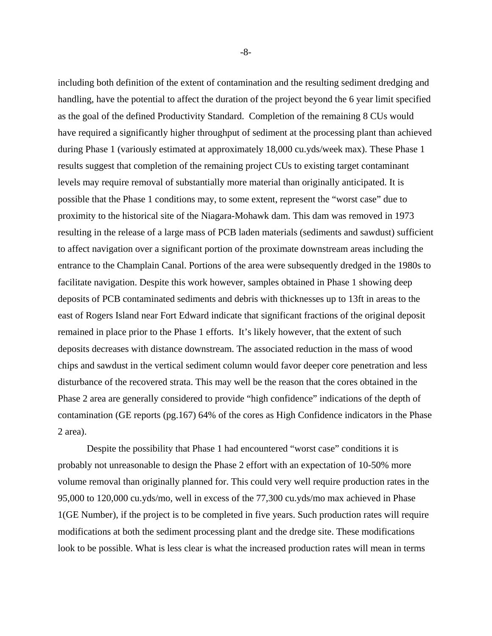including both definition of the extent of contamination and the resulting sediment dredging and handling, have the potential to affect the duration of the project beyond the 6 year limit specified as the goal of the defined Productivity Standard. Completion of the remaining 8 CUs would have required a significantly higher throughput of sediment at the processing plant than achieved during Phase 1 (variously estimated at approximately 18,000 cu.yds/week max). These Phase 1 results suggest that completion of the remaining project CUs to existing target contaminant levels may require removal of substantially more material than originally anticipated. It is possible that the Phase 1 conditions may, to some extent, represent the "worst case" due to proximity to the historical site of the Niagara-Mohawk dam. This dam was removed in 1973 resulting in the release of a large mass of PCB laden materials (sediments and sawdust) sufficient to affect navigation over a significant portion of the proximate downstream areas including the entrance to the Champlain Canal. Portions of the area were subsequently dredged in the 1980s to facilitate navigation. Despite this work however, samples obtained in Phase 1 showing deep deposits of PCB contaminated sediments and debris with thicknesses up to 13ft in areas to the east of Rogers Island near Fort Edward indicate that significant fractions of the original deposit remained in place prior to the Phase 1 efforts. It's likely however, that the extent of such deposits decreases with distance downstream. The associated reduction in the mass of wood chips and sawdust in the vertical sediment column would favor deeper core penetration and less disturbance of the recovered strata. This may well be the reason that the cores obtained in the Phase 2 area are generally considered to provide "high confidence" indications of the depth of contamination (GE reports (pg.167) 64% of the cores as High Confidence indicators in the Phase 2 area).

 Despite the possibility that Phase 1 had encountered "worst case" conditions it is probably not unreasonable to design the Phase 2 effort with an expectation of 10-50% more volume removal than originally planned for. This could very well require production rates in the 95,000 to 120,000 cu.yds/mo, well in excess of the 77,300 cu.yds/mo max achieved in Phase 1(GE Number), if the project is to be completed in five years. Such production rates will require modifications at both the sediment processing plant and the dredge site. These modifications look to be possible. What is less clear is what the increased production rates will mean in terms

-8-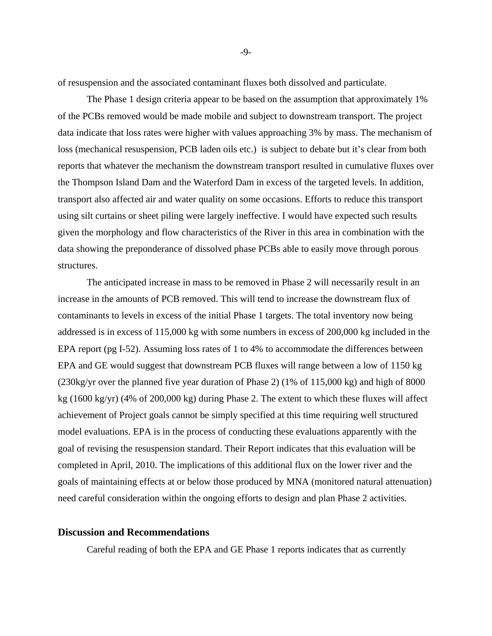of resuspension and the associated contaminant fluxes both dissolved and particulate.

 The Phase 1 design criteria appear to be based on the assumption that approximately 1% of the PCBs removed would be made mobile and subject to downstream transport. The project data indicate that loss rates were higher with values approaching 3% by mass. The mechanism of loss (mechanical resuspension, PCB laden oils etc.) is subject to debate but it's clear from both reports that whatever the mechanism the downstream transport resulted in cumulative fluxes over the Thompson Island Dam and the Waterford Dam in excess of the targeted levels. In addition, transport also affected air and water quality on some occasions. Efforts to reduce this transport using silt curtains or sheet piling were largely ineffective. I would have expected such results given the morphology and flow characteristics of the River in this area in combination with the data showing the preponderance of dissolved phase PCBs able to easily move through porous structures.

 The anticipated increase in mass to be removed in Phase 2 will necessarily result in an increase in the amounts of PCB removed. This will tend to increase the downstream flux of contaminants to levels in excess of the initial Phase 1 targets. The total inventory now being addressed is in excess of 115,000 kg with some numbers in excess of 200,000 kg included in the EPA report (pg I-52). Assuming loss rates of 1 to 4% to accommodate the differences between EPA and GE would suggest that downstream PCB fluxes will range between a low of 1150 kg (230kg/yr over the planned five year duration of Phase 2) (1% of 115,000 kg) and high of 8000 kg (1600 kg/yr) (4% of 200,000 kg) during Phase 2. The extent to which these fluxes will affect achievement of Project goals cannot be simply specified at this time requiring well structured model evaluations. EPA is in the process of conducting these evaluations apparently with the goal of revising the resuspension standard. Their Report indicates that this evaluation will be completed in April, 2010. The implications of this additional flux on the lower river and the goals of maintaining effects at or below those produced by MNA (monitored natural attenuation) need careful consideration within the ongoing efforts to design and plan Phase 2 activities.

#### **Discussion and Recommendations**

Careful reading of both the EPA and GE Phase 1 reports indicates that as currently

-9-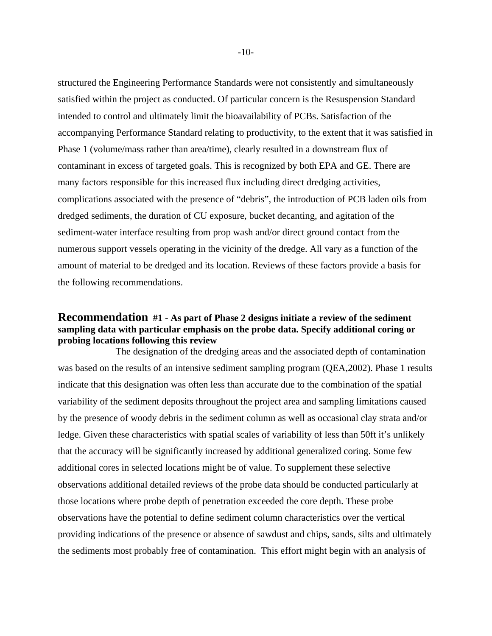structured the Engineering Performance Standards were not consistently and simultaneously satisfied within the project as conducted. Of particular concern is the Resuspension Standard intended to control and ultimately limit the bioavailability of PCBs. Satisfaction of the accompanying Performance Standard relating to productivity, to the extent that it was satisfied in Phase 1 (volume/mass rather than area/time), clearly resulted in a downstream flux of contaminant in excess of targeted goals. This is recognized by both EPA and GE. There are many factors responsible for this increased flux including direct dredging activities, complications associated with the presence of "debris", the introduction of PCB laden oils from dredged sediments, the duration of CU exposure, bucket decanting, and agitation of the sediment-water interface resulting from prop wash and/or direct ground contact from the numerous support vessels operating in the vicinity of the dredge. All vary as a function of the amount of material to be dredged and its location. Reviews of these factors provide a basis for the following recommendations.

## **Recommendation #1 - As part of Phase 2 designs initiate a review of the sediment sampling data with particular emphasis on the probe data. Specify additional coring or probing locations following this review**

 The designation of the dredging areas and the associated depth of contamination was based on the results of an intensive sediment sampling program (QEA,2002). Phase 1 results indicate that this designation was often less than accurate due to the combination of the spatial variability of the sediment deposits throughout the project area and sampling limitations caused by the presence of woody debris in the sediment column as well as occasional clay strata and/or ledge. Given these characteristics with spatial scales of variability of less than 50ft it's unlikely that the accuracy will be significantly increased by additional generalized coring. Some few additional cores in selected locations might be of value. To supplement these selective observations additional detailed reviews of the probe data should be conducted particularly at those locations where probe depth of penetration exceeded the core depth. These probe observations have the potential to define sediment column characteristics over the vertical providing indications of the presence or absence of sawdust and chips, sands, silts and ultimately the sediments most probably free of contamination. This effort might begin with an analysis of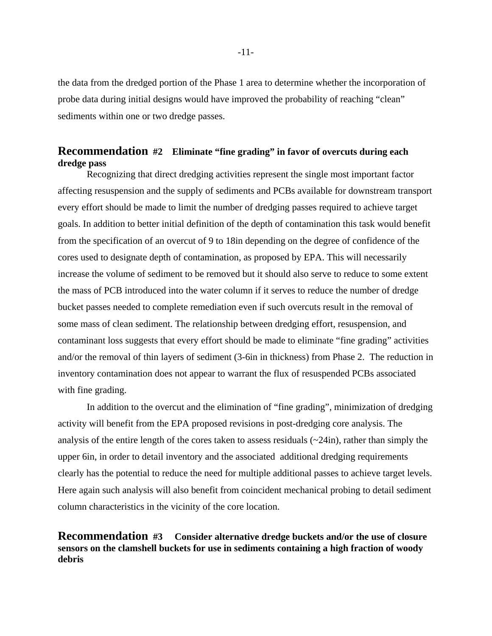the data from the dredged portion of the Phase 1 area to determine whether the incorporation of probe data during initial designs would have improved the probability of reaching "clean" sediments within one or two dredge passes.

# **Recommendation #2 Eliminate "fine grading" in favor of overcuts during each dredge pass**

Recognizing that direct dredging activities represent the single most important factor affecting resuspension and the supply of sediments and PCBs available for downstream transport every effort should be made to limit the number of dredging passes required to achieve target goals. In addition to better initial definition of the depth of contamination this task would benefit from the specification of an overcut of 9 to 18in depending on the degree of confidence of the cores used to designate depth of contamination, as proposed by EPA. This will necessarily increase the volume of sediment to be removed but it should also serve to reduce to some extent the mass of PCB introduced into the water column if it serves to reduce the number of dredge bucket passes needed to complete remediation even if such overcuts result in the removal of some mass of clean sediment. The relationship between dredging effort, resuspension, and contaminant loss suggests that every effort should be made to eliminate "fine grading" activities and/or the removal of thin layers of sediment (3-6in in thickness) from Phase 2. The reduction in inventory contamination does not appear to warrant the flux of resuspended PCBs associated with fine grading.

 In addition to the overcut and the elimination of "fine grading", minimization of dredging activity will benefit from the EPA proposed revisions in post-dredging core analysis. The analysis of the entire length of the cores taken to assess residuals (~24in), rather than simply the upper 6in, in order to detail inventory and the associated additional dredging requirements clearly has the potential to reduce the need for multiple additional passes to achieve target levels. Here again such analysis will also benefit from coincident mechanical probing to detail sediment column characteristics in the vicinity of the core location.

# **Recommendation #3 Consider alternative dredge buckets and/or the use of closure sensors on the clamshell buckets for use in sediments containing a high fraction of woody debris**

-11-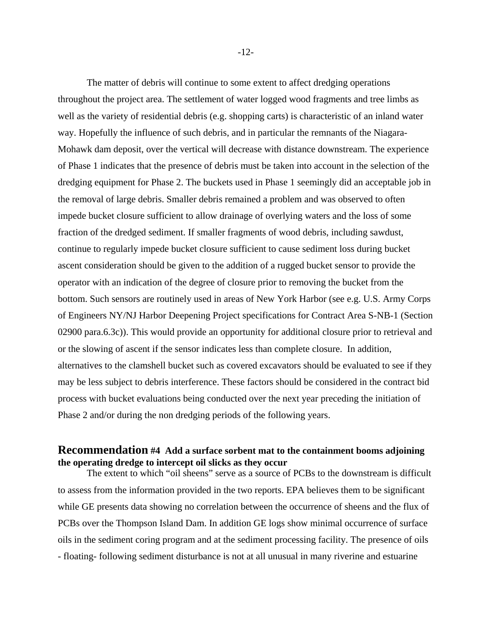The matter of debris will continue to some extent to affect dredging operations throughout the project area. The settlement of water logged wood fragments and tree limbs as well as the variety of residential debris (e.g. shopping carts) is characteristic of an inland water way. Hopefully the influence of such debris, and in particular the remnants of the Niagara-Mohawk dam deposit, over the vertical will decrease with distance downstream. The experience of Phase 1 indicates that the presence of debris must be taken into account in the selection of the dredging equipment for Phase 2. The buckets used in Phase 1 seemingly did an acceptable job in the removal of large debris. Smaller debris remained a problem and was observed to often impede bucket closure sufficient to allow drainage of overlying waters and the loss of some fraction of the dredged sediment. If smaller fragments of wood debris, including sawdust, continue to regularly impede bucket closure sufficient to cause sediment loss during bucket ascent consideration should be given to the addition of a rugged bucket sensor to provide the operator with an indication of the degree of closure prior to removing the bucket from the bottom. Such sensors are routinely used in areas of New York Harbor (see e.g. U.S. Army Corps of Engineers NY/NJ Harbor Deepening Project specifications for Contract Area S-NB-1 (Section 02900 para.6.3c)). This would provide an opportunity for additional closure prior to retrieval and or the slowing of ascent if the sensor indicates less than complete closure. In addition, alternatives to the clamshell bucket such as covered excavators should be evaluated to see if they may be less subject to debris interference. These factors should be considered in the contract bid process with bucket evaluations being conducted over the next year preceding the initiation of Phase 2 and/or during the non dredging periods of the following years.

## **Recommendation #4 Add a surface sorbent mat to the containment booms adjoining the operating dredge to intercept oil slicks as they occur**

 The extent to which "oil sheens" serve as a source of PCBs to the downstream is difficult to assess from the information provided in the two reports. EPA believes them to be significant while GE presents data showing no correlation between the occurrence of sheens and the flux of PCBs over the Thompson Island Dam. In addition GE logs show minimal occurrence of surface oils in the sediment coring program and at the sediment processing facility. The presence of oils - floating- following sediment disturbance is not at all unusual in many riverine and estuarine

-12-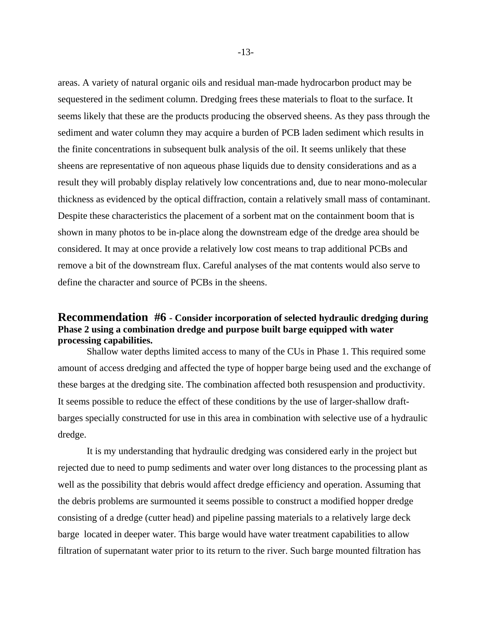areas. A variety of natural organic oils and residual man-made hydrocarbon product may be sequestered in the sediment column. Dredging frees these materials to float to the surface. It seems likely that these are the products producing the observed sheens. As they pass through the sediment and water column they may acquire a burden of PCB laden sediment which results in the finite concentrations in subsequent bulk analysis of the oil. It seems unlikely that these sheens are representative of non aqueous phase liquids due to density considerations and as a result they will probably display relatively low concentrations and, due to near mono-molecular thickness as evidenced by the optical diffraction, contain a relatively small mass of contaminant. Despite these characteristics the placement of a sorbent mat on the containment boom that is shown in many photos to be in-place along the downstream edge of the dredge area should be considered. It may at once provide a relatively low cost means to trap additional PCBs and remove a bit of the downstream flux. Careful analyses of the mat contents would also serve to define the character and source of PCBs in the sheens.

## **Recommendation #6 - Consider incorporation of selected hydraulic dredging during Phase 2 using a combination dredge and purpose built barge equipped with water processing capabilities.**

 Shallow water depths limited access to many of the CUs in Phase 1. This required some amount of access dredging and affected the type of hopper barge being used and the exchange of these barges at the dredging site. The combination affected both resuspension and productivity. It seems possible to reduce the effect of these conditions by the use of larger-shallow draftbarges specially constructed for use in this area in combination with selective use of a hydraulic dredge.

 It is my understanding that hydraulic dredging was considered early in the project but rejected due to need to pump sediments and water over long distances to the processing plant as well as the possibility that debris would affect dredge efficiency and operation. Assuming that the debris problems are surmounted it seems possible to construct a modified hopper dredge consisting of a dredge (cutter head) and pipeline passing materials to a relatively large deck barge located in deeper water. This barge would have water treatment capabilities to allow filtration of supernatant water prior to its return to the river. Such barge mounted filtration has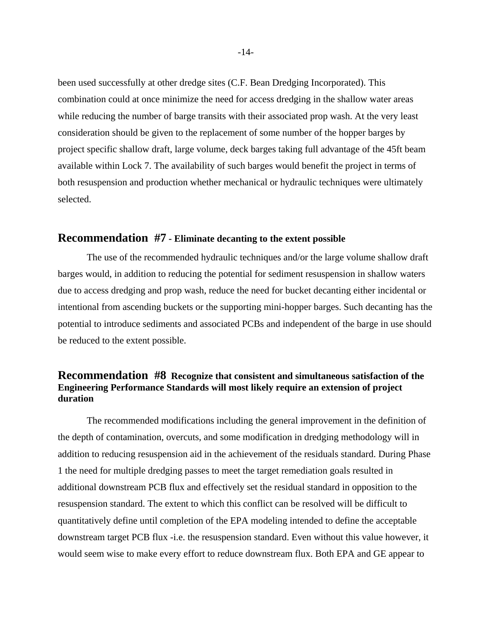been used successfully at other dredge sites (C.F. Bean Dredging Incorporated). This combination could at once minimize the need for access dredging in the shallow water areas while reducing the number of barge transits with their associated prop wash. At the very least consideration should be given to the replacement of some number of the hopper barges by project specific shallow draft, large volume, deck barges taking full advantage of the 45ft beam available within Lock 7. The availability of such barges would benefit the project in terms of both resuspension and production whether mechanical or hydraulic techniques were ultimately selected.

## **Recommendation #7 - Eliminate decanting to the extent possible**

 The use of the recommended hydraulic techniques and/or the large volume shallow draft barges would, in addition to reducing the potential for sediment resuspension in shallow waters due to access dredging and prop wash, reduce the need for bucket decanting either incidental or intentional from ascending buckets or the supporting mini-hopper barges. Such decanting has the potential to introduce sediments and associated PCBs and independent of the barge in use should be reduced to the extent possible.

# **Recommendation #8 Recognize that consistent and simultaneous satisfaction of the Engineering Performance Standards will most likely require an extension of project duration**

 The recommended modifications including the general improvement in the definition of the depth of contamination, overcuts, and some modification in dredging methodology will in addition to reducing resuspension aid in the achievement of the residuals standard. During Phase 1 the need for multiple dredging passes to meet the target remediation goals resulted in additional downstream PCB flux and effectively set the residual standard in opposition to the resuspension standard. The extent to which this conflict can be resolved will be difficult to quantitatively define until completion of the EPA modeling intended to define the acceptable downstream target PCB flux -i.e. the resuspension standard. Even without this value however, it would seem wise to make every effort to reduce downstream flux. Both EPA and GE appear to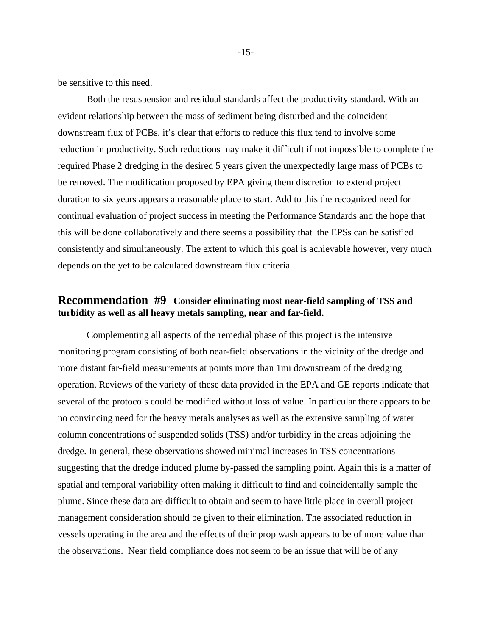be sensitive to this need.

 Both the resuspension and residual standards affect the productivity standard. With an evident relationship between the mass of sediment being disturbed and the coincident downstream flux of PCBs, it's clear that efforts to reduce this flux tend to involve some reduction in productivity. Such reductions may make it difficult if not impossible to complete the required Phase 2 dredging in the desired 5 years given the unexpectedly large mass of PCBs to be removed. The modification proposed by EPA giving them discretion to extend project duration to six years appears a reasonable place to start. Add to this the recognized need for continual evaluation of project success in meeting the Performance Standards and the hope that this will be done collaboratively and there seems a possibility that the EPSs can be satisfied consistently and simultaneously. The extent to which this goal is achievable however, very much depends on the yet to be calculated downstream flux criteria.

# **Recommendation #9 Consider eliminating most near-field sampling of TSS and turbidity as well as all heavy metals sampling, near and far-field.**

 Complementing all aspects of the remedial phase of this project is the intensive monitoring program consisting of both near-field observations in the vicinity of the dredge and more distant far-field measurements at points more than 1mi downstream of the dredging operation. Reviews of the variety of these data provided in the EPA and GE reports indicate that several of the protocols could be modified without loss of value. In particular there appears to be no convincing need for the heavy metals analyses as well as the extensive sampling of water column concentrations of suspended solids (TSS) and/or turbidity in the areas adjoining the dredge. In general, these observations showed minimal increases in TSS concentrations suggesting that the dredge induced plume by-passed the sampling point. Again this is a matter of spatial and temporal variability often making it difficult to find and coincidentally sample the plume. Since these data are difficult to obtain and seem to have little place in overall project management consideration should be given to their elimination. The associated reduction in vessels operating in the area and the effects of their prop wash appears to be of more value than the observations. Near field compliance does not seem to be an issue that will be of any

-15-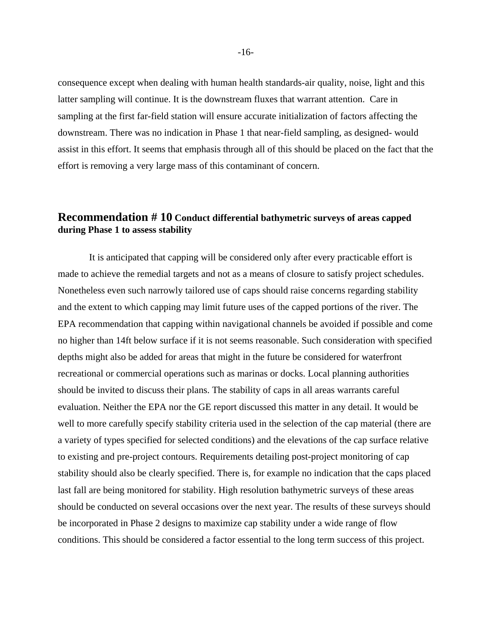consequence except when dealing with human health standards-air quality, noise, light and this latter sampling will continue. It is the downstream fluxes that warrant attention. Care in sampling at the first far-field station will ensure accurate initialization of factors affecting the downstream. There was no indication in Phase 1 that near-field sampling, as designed- would assist in this effort. It seems that emphasis through all of this should be placed on the fact that the effort is removing a very large mass of this contaminant of concern.

# **Recommendation # 10 Conduct differential bathymetric surveys of areas capped during Phase 1 to assess stability**

 It is anticipated that capping will be considered only after every practicable effort is made to achieve the remedial targets and not as a means of closure to satisfy project schedules. Nonetheless even such narrowly tailored use of caps should raise concerns regarding stability and the extent to which capping may limit future uses of the capped portions of the river. The EPA recommendation that capping within navigational channels be avoided if possible and come no higher than 14ft below surface if it is not seems reasonable. Such consideration with specified depths might also be added for areas that might in the future be considered for waterfront recreational or commercial operations such as marinas or docks. Local planning authorities should be invited to discuss their plans. The stability of caps in all areas warrants careful evaluation. Neither the EPA nor the GE report discussed this matter in any detail. It would be well to more carefully specify stability criteria used in the selection of the cap material (there are a variety of types specified for selected conditions) and the elevations of the cap surface relative to existing and pre-project contours. Requirements detailing post-project monitoring of cap stability should also be clearly specified. There is, for example no indication that the caps placed last fall are being monitored for stability. High resolution bathymetric surveys of these areas should be conducted on several occasions over the next year. The results of these surveys should be incorporated in Phase 2 designs to maximize cap stability under a wide range of flow conditions. This should be considered a factor essential to the long term success of this project.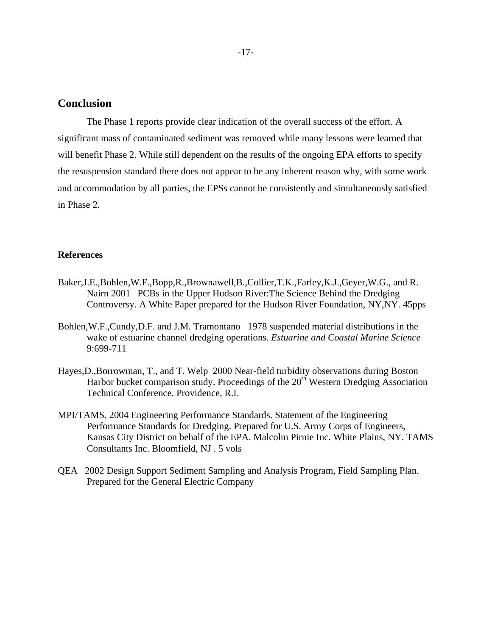# **Conclusion**

 The Phase 1 reports provide clear indication of the overall success of the effort. A significant mass of contaminated sediment was removed while many lessons were learned that will benefit Phase 2. While still dependent on the results of the ongoing EPA efforts to specify the resuspension standard there does not appear to be any inherent reason why, with some work and accommodation by all parties, the EPSs cannot be consistently and simultaneously satisfied in Phase 2.

#### **References**

- Baker,J.E.,Bohlen,W.F.,Bopp,R.,Brownawell,B.,Collier,T.K.,Farley,K.J.,Geyer,W.G., and R. Nairn 2001 PCBs in the Upper Hudson River:The Science Behind the Dredging Controversy. A White Paper prepared for the Hudson River Foundation, NY,NY. 45pps
- Bohlen,W.F.,Cundy,D.F. and J.M. Tramontano 1978 suspended material distributions in the wake of estuarine channel dredging operations. *Estuarine and Coastal Marine Science*  9:699-711
- Hayes,D.,Borrowman, T., and T. Welp 2000 Near-field turbidity observations during Boston Harbor bucket comparison study. Proceedings of the  $20<sup>th</sup>$  Western Dredging Association Technical Conference. Providence, R.I.
- MPI/TAMS, 2004 Engineering Performance Standards. Statement of the Engineering Performance Standards for Dredging. Prepared for U.S. Army Corps of Engineers, Kansas City District on behalf of the EPA. Malcolm Pirnie Inc. White Plains, NY. TAMS Consultants Inc. Bloomfield, NJ . 5 vols
- QEA 2002 Design Support Sediment Sampling and Analysis Program, Field Sampling Plan. Prepared for the General Electric Company